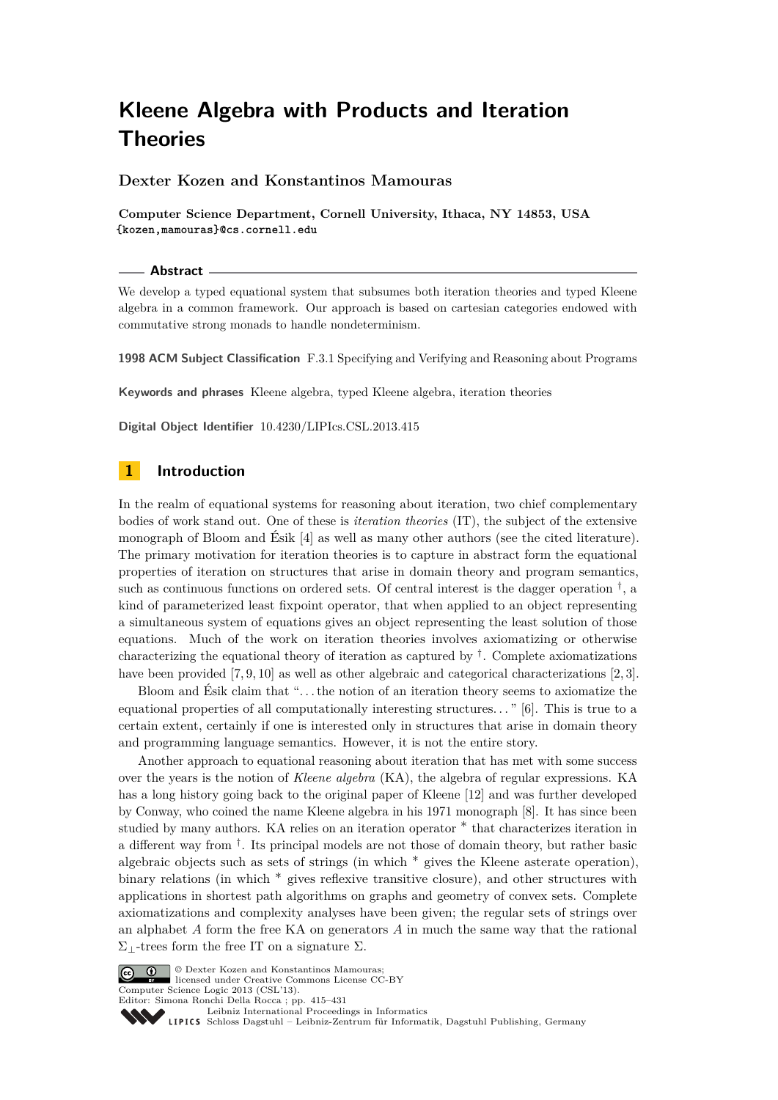# **Dexter Kozen and Konstantinos Mamouras**

**Computer Science Department, Cornell University, Ithaca, NY 14853, USA {kozen,mamouras}@cs.cornell.edu**

#### **Abstract**

We develop a typed equational system that subsumes both iteration theories and typed Kleene algebra in a common framework. Our approach is based on cartesian categories endowed with commutative strong monads to handle nondeterminism.

**1998 ACM Subject Classification** F.3.1 Specifying and Verifying and Reasoning about Programs

**Keywords and phrases** Kleene algebra, typed Kleene algebra, iteration theories

**Digital Object Identifier** [10.4230/LIPIcs.CSL.2013.415](http://dx.doi.org/10.4230/LIPIcs.CSL.2013.415)

# **1 Introduction**

In the realm of equational systems for reasoning about iteration, two chief complementary bodies of work stand out. One of these is *iteration theories* (IT), the subject of the extensive monograph of Bloom and Ésik [\[4\]](#page-14-0) as well as many other authors (see the cited literature). The primary motivation for iteration theories is to capture in abstract form the equational properties of iteration on structures that arise in domain theory and program semantics, such as continuous functions on ordered sets. Of central interest is the dagger operation  $^{\dagger}$ , a kind of parameterized least fixpoint operator, that when applied to an object representing a simultaneous system of equations gives an object representing the least solution of those equations. Much of the work on iteration theories involves axiomatizing or otherwise characterizing the equational theory of iteration as captured by  $^{\dagger}$ . Complete axiomatizations have been provided [\[7,](#page-14-1) [9,](#page-14-2) [10\]](#page-14-3) as well as other algebraic and categorical characterizations [\[2,](#page-14-4) [3\]](#page-14-5).

Bloom and Ésik claim that ". . . the notion of an iteration theory seems to axiomatize the equational properties of all computationally interesting structures. . . " [\[6\]](#page-14-6). This is true to a certain extent, certainly if one is interested only in structures that arise in domain theory and programming language semantics. However, it is not the entire story.

Another approach to equational reasoning about iteration that has met with some success over the years is the notion of *Kleene algebra* (KA), the algebra of regular expressions. KA has a long history going back to the original paper of Kleene [\[12\]](#page-14-7) and was further developed by Conway, who coined the name Kleene algebra in his 1971 monograph [\[8\]](#page-14-8). It has since been studied by many authors. KA relies on an iteration operator  $*$  that characterizes iteration in a different way from <sup>†</sup>. Its principal models are not those of domain theory, but rather basic algebraic objects such as sets of strings (in which ∗ gives the Kleene asterate operation), binary relations (in which ∗ gives reflexive transitive closure), and other structures with applications in shortest path algorithms on graphs and geometry of convex sets. Complete axiomatizations and complexity analyses have been given; the regular sets of strings over an alphabet *A* form the free KA on generators *A* in much the same way that the rational  $\Sigma$ ⊥-trees form the free IT on a signature  $\Sigma$ .



**C**  $\bullet$  **D**  $\bullet$  Dexter Kozen and Konstantinos Mamouras; licensed under Creative Commons License CC-BY Computer Science Logic 2013 (CSL'13).

Editor: Simona Ronchi Della Rocca ; pp. 415[–431](#page-16-0)

[Leibniz International Proceedings in Informatics](http://www.dagstuhl.de/lipics/) Leibniz international ruse einigs in missimosischen Publishing, Germany<br>LIPICS [Schloss Dagstuhl – Leibniz-Zentrum für Informatik, Dagstuhl Publishing, Germany](http://www.dagstuhl.de)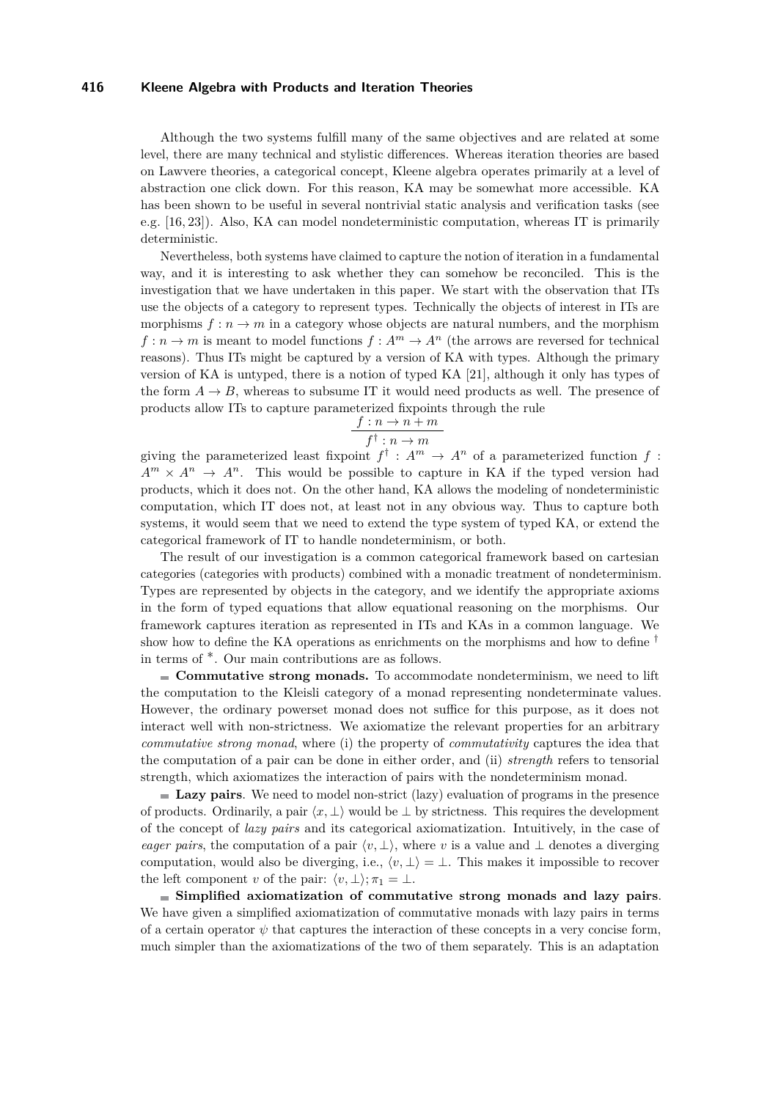Although the two systems fulfill many of the same objectives and are related at some level, there are many technical and stylistic differences. Whereas iteration theories are based on Lawvere theories, a categorical concept, Kleene algebra operates primarily at a level of abstraction one click down. For this reason, KA may be somewhat more accessible. KA has been shown to be useful in several nontrivial static analysis and verification tasks (see e.g. [\[16,](#page-14-9) [23\]](#page-14-10)). Also, KA can model nondeterministic computation, whereas IT is primarily deterministic.

Nevertheless, both systems have claimed to capture the notion of iteration in a fundamental way, and it is interesting to ask whether they can somehow be reconciled. This is the investigation that we have undertaken in this paper. We start with the observation that ITs use the objects of a category to represent types. Technically the objects of interest in ITs are morphisms  $f: n \to m$  in a category whose objects are natural numbers, and the morphism  $f: n \to m$  is meant to model functions  $f: A^m \to A^n$  (the arrows are reversed for technical reasons). Thus ITs might be captured by a version of KA with types. Although the primary version of KA is untyped, there is a notion of typed KA [\[21\]](#page-14-11), although it only has types of the form  $A \rightarrow B$ , whereas to subsume IT it would need products as well. The presence of products allow ITs to capture parameterized fixpoints through the rule

$$
\frac{f:n \to n+m}{f^{\dagger}:n \to m}
$$

giving the parameterized least fixpoint  $f^{\dagger}: A^m \to A^n$  of a parameterized function  $f$ :  $A^m \times A^n \rightarrow A^n$ . This would be possible to capture in KA if the typed version had products, which it does not. On the other hand, KA allows the modeling of nondeterministic computation, which IT does not, at least not in any obvious way. Thus to capture both systems, it would seem that we need to extend the type system of typed KA, or extend the categorical framework of IT to handle nondeterminism, or both.

The result of our investigation is a common categorical framework based on cartesian categories (categories with products) combined with a monadic treatment of nondeterminism. Types are represented by objects in the category, and we identify the appropriate axioms in the form of typed equations that allow equational reasoning on the morphisms. Our framework captures iteration as represented in ITs and KAs in a common language. We show how to define the KA operations as enrichments on the morphisms and how to define  $\dagger$ in terms of ∗. Our main contributions are as follows.

**Commutative strong monads.** To accommodate nondeterminism, we need to lift the computation to the Kleisli category of a monad representing nondeterminate values. However, the ordinary powerset monad does not suffice for this purpose, as it does not interact well with non-strictness. We axiomatize the relevant properties for an arbitrary *commutative strong monad*, where (i) the property of *commutativity* captures the idea that the computation of a pair can be done in either order, and (ii) *strength* refers to tensorial strength, which axiomatizes the interaction of pairs with the nondeterminism monad.

**Lazy pairs**. We need to model non-strict (lazy) evaluation of programs in the presence of products. Ordinarily, a pair  $\langle x, \perp \rangle$  would be  $\perp$  by strictness. This requires the development of the concept of *lazy pairs* and its categorical axiomatization. Intuitively, in the case of *eager pairs*, the computation of a pair  $\langle v, \perp \rangle$ , where *v* is a value and  $\perp$  denotes a diverging computation, would also be diverging, i.e.,  $\langle v, \perp \rangle = \perp$ . This makes it impossible to recover the left component *v* of the pair:  $\langle v, \perp \rangle; \pi_1 = \perp$ .

**Simplified axiomatization of commutative strong monads and lazy pairs**. We have given a simplified axiomatization of commutative monads with lazy pairs in terms of a certain operator  $\psi$  that captures the interaction of these concepts in a very concise form, much simpler than the axiomatizations of the two of them separately. This is an adaptation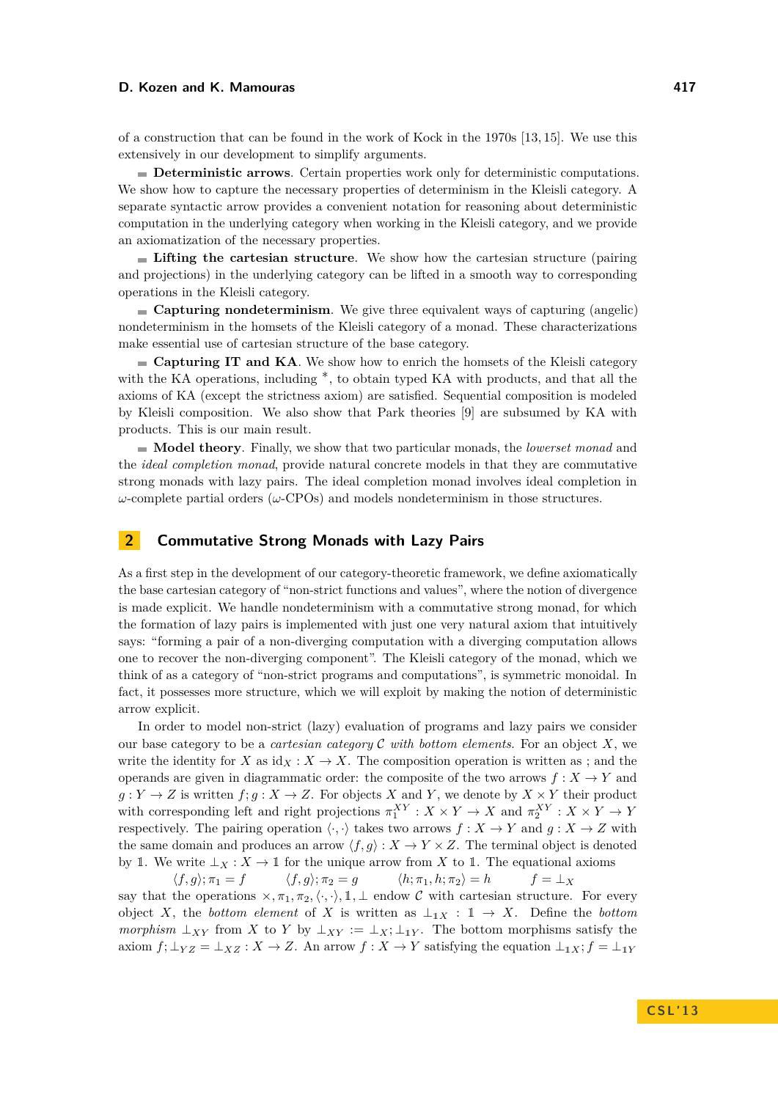of a construction that can be found in the work of Kock in the 1970s [\[13,](#page-14-12) [15\]](#page-14-13). We use this extensively in our development to simplify arguments.

**Deterministic arrows**. Certain properties work only for deterministic computations. We show how to capture the necessary properties of determinism in the Kleisli category. A separate syntactic arrow provides a convenient notation for reasoning about deterministic computation in the underlying category when working in the Kleisli category, and we provide an axiomatization of the necessary properties.

**Lifting the cartesian structure**. We show how the cartesian structure (pairing and projections) in the underlying category can be lifted in a smooth way to corresponding operations in the Kleisli category.

**Capturing nondeterminism**. We give three equivalent ways of capturing (angelic) nondeterminism in the homsets of the Kleisli category of a monad. These characterizations make essential use of cartesian structure of the base category.

**Capturing IT and KA**. We show how to enrich the homsets of the Kleisli category with the KA operations, including ∗, to obtain typed KA with products, and that all the axioms of KA (except the strictness axiom) are satisfied. Sequential composition is modeled by Kleisli composition. We also show that Park theories [\[9\]](#page-14-2) are subsumed by KA with products. This is our main result.

**Model theory**. Finally, we show that two particular monads, the *lowerset monad* and the *ideal completion monad*, provide natural concrete models in that they are commutative strong monads with lazy pairs. The ideal completion monad involves ideal completion in *ω*-complete partial orders (*ω*-CPOs) and models nondeterminism in those structures.

## **2 Commutative Strong Monads with Lazy Pairs**

As a first step in the development of our category-theoretic framework, we define axiomatically the base cartesian category of "non-strict functions and values", where the notion of divergence is made explicit. We handle nondeterminism with a commutative strong monad, for which the formation of lazy pairs is implemented with just one very natural axiom that intuitively says: "forming a pair of a non-diverging computation with a diverging computation allows one to recover the non-diverging component". The Kleisli category of the monad, which we think of as a category of "non-strict programs and computations", is symmetric monoidal. In fact, it possesses more structure, which we will exploit by making the notion of deterministic arrow explicit.

In order to model non-strict (lazy) evaluation of programs and lazy pairs we consider our base category to be a *cartesian category* C *with bottom elements*. For an object *X*, we write the identity for *X* as  $id_X : X \to X$ . The composition operation is written as ; and the operands are given in diagrammatic order: the composite of the two arrows  $f: X \to Y$  and  $g: Y \to Z$  is written  $f; g: X \to Z$ . For objects *X* and *Y*, we denote by  $X \times Y$  their product with corresponding left and right projections  $\pi_1^{XY}: X \times Y \to X$  and  $\pi_2^{XY}: X \times Y \to Y$ respectively. The pairing operation  $\langle \cdot, \cdot \rangle$  takes two arrows  $f : X \to Y$  and  $g : X \to Z$  with the same domain and produces an arrow  $\langle f, g \rangle : X \to Y \times Z$ . The terminal object is denoted by 1. We write  $\perp_X : X \to \mathbb{1}$  for the unique arrow from *X* to 1. The equational axioms

 $\langle f, g \rangle; \pi_1 = f$   $\langle f, g \rangle; \pi_2 = g$   $\langle h, \pi_1, h, \pi_2 \rangle = h$   $f = \perp_X$ say that the operations  $\times, \pi_1, \pi_2, \langle \cdot, \cdot \rangle, \mathbb{1}, \perp$  endow C with cartesian structure. For every object *X*, the *bottom element* of *X* is written as  $\perp_{1X}$  :  $1 \rightarrow X$ . Define the *bottom morphism*  $\perp_{XY}$  from *X* to *Y* by  $\perp_{XY} := \perp_X$ ;  $\perp_{1Y}$ . The bottom morphisms satisfy the axiom  $f$ ;  $\perp_{YZ} = \perp_{XZ} : X \to Z$ . An arrow  $f : X \to Y$  satisfying the equation  $\perp_{1X}$ ;  $f = \perp_{1Y}$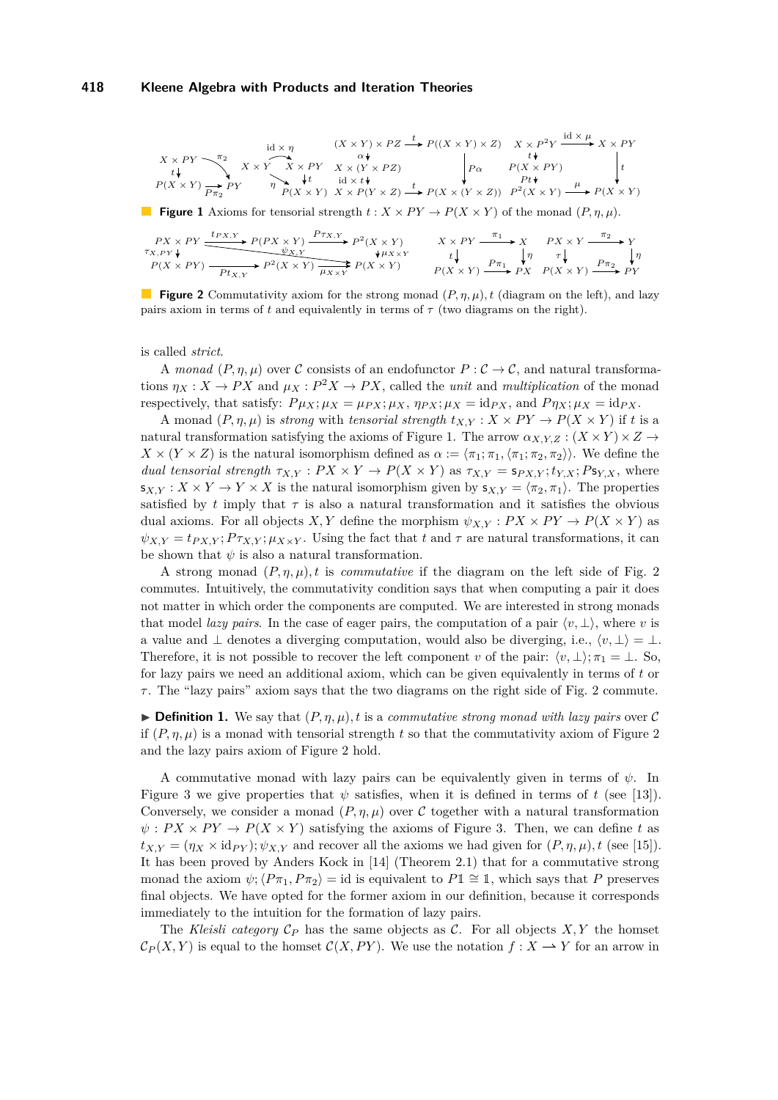<span id="page-3-0"></span>
$$
\begin{array}{ccc}&&\\ X\times PY\longrightarrow^{\pi_2}&X\times Y&\times Y&\times PZ&\xrightarrow{t}&P((X\times Y)\times Z)&X\times P^2Y&\xrightarrow{\operatorname{id}\times\mu}&X\times PY\\ t\downarrow&&\xrightarrow{t}&X\times Y&X\times PY&X\times (Y\times PZ)\\ P(X\times Y)\underset{P\pi_2}{\longrightarrow}PY&\eta\underset{P(X\times Y)}{\longrightarrow}Y&\xrightarrow{\operatorname{id}\times t}\xrightarrow{\operatorname{id}\times t}\xrightarrow{\operatorname{id}\times t}\xrightarrow{\tau}&P(X\times (Y\times Z))&P^2(X\times Y)\xrightarrow{\mu}&P(X\times Y)\\ \end{array}
$$

**Figure 1** Axioms for tensorial strength  $t : X \times PY \rightarrow P(X \times Y)$  of the monad  $(P, \eta, \mu)$ .

<span id="page-3-1"></span>
$$
\begin{array}{ccc}\nPX \times PY \xrightarrow{tp_{X,Y}} P(PX \times Y) & \xrightarrow{Pr_{X,Y}} P^2(X \times Y) & & X \times PY \xrightarrow{\pi_1} X & & PX \times Y \xrightarrow{\pi_2} Y \\
\downarrow & & & & & & \\
P(X \times PY) \xrightarrow{Pt_{X,Y}} P^2(X \times Y) & & & & & \\
\hline\n\end{array}
$$

**Figure 2** Commutativity axiom for the strong monad (*P, η, µ*)*, t* (diagram on the left), and lazy pairs axiom in terms of  $t$  and equivalently in terms of  $\tau$  (two diagrams on the right).

is called *strict*.

A *monad*  $(P, \eta, \mu)$  over C consists of an endofunctor  $P : C \to C$ , and natural transformations  $\eta_X : X \to PX$  and  $\mu_X : P^2 X \to PX$ , called the *unit* and *multiplication* of the monad respectively, that satisfy:  $P\mu_X; \mu_X = \mu_{PX}; \mu_X, \eta_{PX}; \mu_X = \text{id}_{PX}$ , and  $P\eta_X; \mu_X = \text{id}_{PX}$ .

A monad  $(P, \eta, \mu)$  is *strong* with *tensorial strength*  $t_{X,Y} : X \times PY \to P(X \times Y)$  if *t* is a natural transformation satisfying the axioms of Figure [1.](#page-3-0) The arrow  $\alpha_{X,Y,Z} : (X \times Y) \times Z \rightarrow$  $X \times (Y \times Z)$  is the natural isomorphism defined as  $\alpha := \langle \pi_1; \pi_1, \langle \pi_1; \pi_2, \pi_2 \rangle \rangle$ . We define the *dual tensorial strength*  $\tau_{X,Y} : PX \times Y \to P(X \times Y)$  as  $\tau_{X,Y} = s_{PX,Y}$ ;  $t_{Y,X}$ ;  $Ps_{Y,X}$ , where  $s_{X,Y}: X \times Y \to Y \times X$  is the natural isomorphism given by  $s_{X,Y} = \langle \pi_2, \pi_1 \rangle$ . The properties satisfied by  $t$  imply that  $\tau$  is also a natural transformation and it satisfies the obvious dual axioms. For all objects *X,Y* define the morphism  $\psi_{X,Y} : PX \times PY \to P(X \times Y)$  as  $\psi_{X,Y} = t_{P X,Y}$ ;  $P \tau_{X,Y}$ ;  $\mu_{X \times Y}$ . Using the fact that *t* and  $\tau$  are natural transformations, it can be shown that  $\psi$  is also a natural transformation.

A strong monad  $(P, \eta, \mu)$ *, t* is *commutative* if the diagram on the left side of Fig. [2](#page-3-1) commutes. Intuitively, the commutativity condition says that when computing a pair it does not matter in which order the components are computed. We are interested in strong monads that model *lazy pairs*. In the case of eager pairs, the computation of a pair  $\langle v, \perp \rangle$ , where *v* is a value and  $\perp$  denotes a diverging computation, would also be diverging, i.e.,  $\langle v, \perp \rangle = \perp$ . Therefore, it is not possible to recover the left component *v* of the pair:  $\langle v, \perp \rangle; \pi_1 = \perp$ . So, for lazy pairs we need an additional axiom, which can be given equivalently in terms of *t* or *τ* . The "lazy pairs" axiom says that the two diagrams on the right side of Fig. [2](#page-3-1) commute.

**• Definition 1.** We say that  $(P, \eta, \mu)$ , t is a *commutative strong monad with lazy pairs* over C if  $(P, \eta, \mu)$  is a monad with tensorial strength *t* so that the commutativity axiom of Figure [2](#page-3-1) and the lazy pairs axiom of Figure [2](#page-3-1) hold.

A commutative monad with lazy pairs can be equivalently given in terms of  $\psi$ . In Figure [3](#page-4-0) we give properties that  $\psi$  satisfies, when it is defined in terms of t (see [\[13\]](#page-14-12)). Conversely, we consider a monad  $(P, \eta, \mu)$  over C together with a natural transformation  $\psi$ :  $PX \times PY \rightarrow P(X \times Y)$  satisfying the axioms of Figure [3.](#page-4-0) Then, we can define *t* as  $t_{X,Y} = (\eta_X \times id_{PY}); \psi_{X,Y}$  and recover all the axioms we had given for  $(P, \eta, \mu), t$  (see [\[15\]](#page-14-13)). It has been proved by Anders Kock in [\[14\]](#page-14-14) (Theorem 2.1) that for a commutative strong monad the axiom  $\psi$ ;  $\langle P\pi_1, P\pi_2 \rangle = \text{id}$  is equivalent to  $P1 \cong 1$ , which says that P preserves final objects. We have opted for the former axiom in our definition, because it corresponds immediately to the intuition for the formation of lazy pairs.

The *Kleisli category*  $C_P$  has the same objects as C. For all objects  $X, Y$  the homset  $\mathcal{C}_P(X, Y)$  is equal to the homset  $\mathcal{C}(X, PY)$ . We use the notation  $f : X \longrightarrow Y$  for an arrow in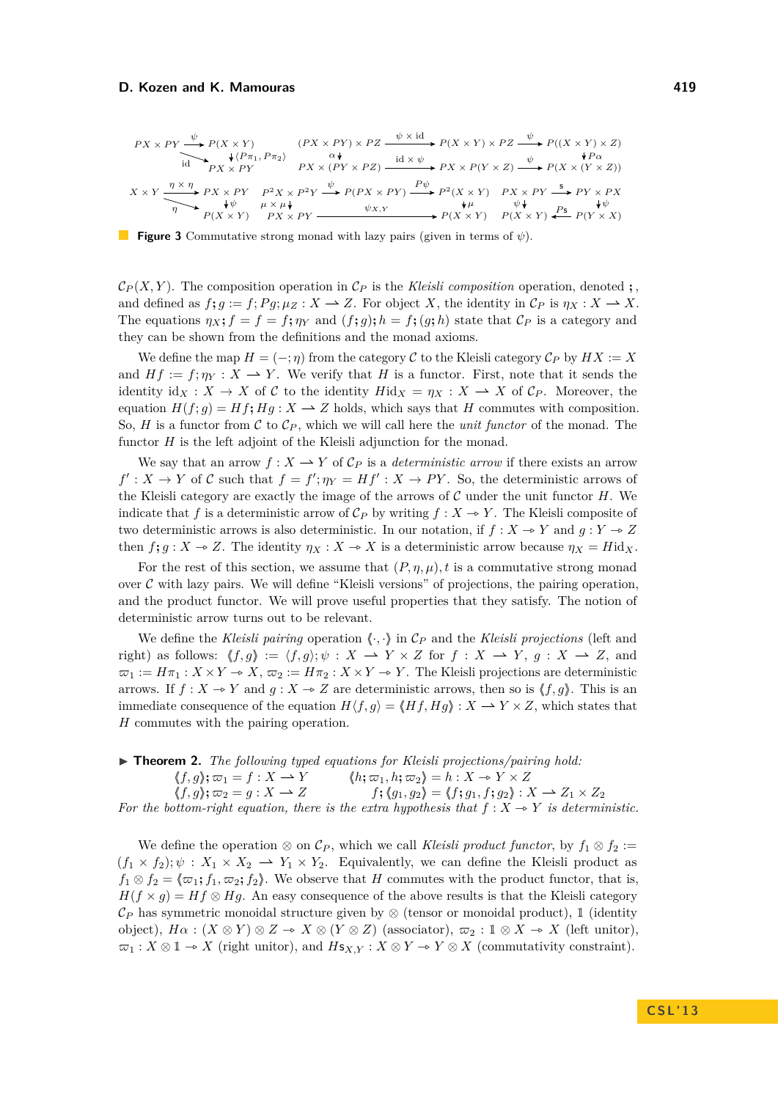<span id="page-4-0"></span>
$$
PX \times PY \xrightarrow{\psi} P(X \times Y) \xrightarrow{\chi \times PY} (PX \times PY) \times PZ \xrightarrow{\psi \times id} P(X \times Y) \times PZ \xrightarrow{\psi} P((X \times Y) \times Z)
$$
  
\n
$$
\xrightarrow{\text{id}} PX \times PY \xrightarrow{\text{Q}Y} PX \xrightarrow{\text{Q}Y} PX \xrightarrow{\text{id} \times \psi} PX \times P(Y \times Z) \xrightarrow{\psi} P(X \times (Y \times Z))
$$
  
\n
$$
X \times Y \xrightarrow{\eta \times \eta} PX \times PX \times PY \xrightarrow{P^2} X \times P^2 Y \xrightarrow{\psi} P(PX \times PY) \xrightarrow{P\psi} P^2(X \times Y) \xrightarrow{PX} PY \xrightarrow{\text{S}} PY \times PX
$$
  
\n
$$
\xrightarrow{\text{Q}Y} P(X \times Y) \xrightarrow{\text{Q}Y} PX \times PY \xrightarrow{\text{Q}Y} P(X \times Y) \xrightarrow{\text{Q}Y} P(X \times Y) \xrightarrow{\text{Q}Y} P(X \times Y) \xrightarrow{\text{Q}Y} P(Y \times X)
$$

**Figure 3** Commutative strong monad with lazy pairs (given in terms of *ψ*).

 $\mathcal{C}_P(X, Y)$ . The composition operation in  $\mathcal{C}_P$  is the *Kleisli composition* operation, denoted **;** and defined as  $f$ **;**  $g := f$ **;**  $Pg$ **;**  $\mu_Z : X \to Z$ . For object *X*, the identity in  $\mathcal{C}_P$  is  $\eta_X : X \to X$ . The equations  $\eta_X$ ;  $f = f = f$ ;  $\eta_Y$  and  $(f; g)$ ;  $h = f$ ;  $(g; h)$  state that  $\mathcal{C}_P$  is a category and they can be shown from the definitions and the monad axioms.

We define the map  $H = (-; \eta)$  from the category C to the Kleisli category  $\mathcal{C}_P$  by  $HX := X$ and  $Hf := f; \eta_Y : X \longrightarrow Y$ . We verify that *H* is a functor. First, note that it sends the identity id $_X: X \to X$  of C to the identity  $Hid_X = \eta_X: X \to X$  of  $\mathcal{C}_P$ . Moreover, the equation  $H(f; q) = Hf$ **;**  $Hq: X \to Z$  holds, which says that *H* commutes with composition. So, *H* is a functor from C to  $\mathcal{C}_P$ , which we will call here the *unit functor* of the monad. The functor *H* is the left adjoint of the Kleisli adjunction for the monad.

We say that an arrow  $f: X \longrightarrow Y$  of  $\mathcal{C}_P$  is a *deterministic arrow* if there exists an arrow  $f': X \to Y$  of C such that  $f = f'; \eta_Y = Hf': X \to PY$ . So, the deterministic arrows of the Kleisli category are exactly the image of the arrows of C under the unit functor *H*. We indicate that *f* is a deterministic arrow of  $\mathcal{C}_P$  by writing  $f : X \to Y$ . The Kleisli composite of two deterministic arrows is also deterministic. In our notation, if  $f: X \to Y$  and  $g: Y \to Z$ then  $f$ **;**  $g: X \to Z$ . The identity  $\eta_X: X \to X$  is a deterministic arrow because  $\eta_X = H \mathrm{id}_X$ .

For the rest of this section, we assume that  $(P, \eta, \mu)$ , t is a commutative strong monad over  $C$  with lazy pairs. We will define "Kleisli versions" of projections, the pairing operation, and the product functor. We will prove useful properties that they satisfy. The notion of deterministic arrow turns out to be relevant.

We define the *Kleisli pairing* operation  $\langle \cdot, \cdot \rangle$  in  $\mathcal{C}_P$  and the *Kleisli projections* (left and right) as follows:  $\langle f, g \rangle := \langle f, g \rangle; \psi : X \longrightarrow Y \times Z$  for  $f : X \longrightarrow Y$ ,  $g : X \longrightarrow Z$ , and  $\varpi_1 := H\pi_1 : X \times Y \to X, \, \varpi_2 := H\pi_2 : X \times Y \to Y.$  The Kleisli projections are deterministic arrows. If  $f: X \to Y$  and  $g: X \to Z$  are deterministic arrows, then so is  $\langle f, g \rangle$ . This is an immediate consequence of the equation  $H\langle f, g \rangle = \langle Hf, Hg \rangle : X \longrightarrow Y \times Z$ , which states that *H* commutes with the pairing operation.

▶ **Theorem 2.** *The following typed equations for Kleisli projections/pairing hold:*  $\langle f, g \rangle; \varpi_1 = f : X \to Y$ <br>  $\langle f, g \rangle; \varpi_2 = g : X \to Z$ <br>  $\langle f, g_1, g_2 \rangle = \langle f, g_1, f; g_2 \rangle : Z$  $f$ ;  $\langle g_1, g_2 \rangle = \langle f; g_1, f; g_2 \rangle : X \longrightarrow Z_1 \times Z_2$ *For the bottom-right equation, there is the extra hypothesis that*  $f : X \rightarrow Y$  *is deterministic.* 

We define the operation ⊗ on  $\mathcal{C}_P$ , which we call *Kleisli product functor*, by  $f_1 \otimes f_2 :=$  $(f_1 \times f_2); \psi : X_1 \times X_2 \longrightarrow Y_1 \times Y_2$ . Equivalently, we can define the Kleisli product as  $f_1 \otimes f_2 = \langle \varpi_1; f_1, \varpi_2; f_2 \rangle$ . We observe that *H* commutes with the product functor, that is,  $H(f \times g) = Hf \otimes Hg$ . An easy consequence of the above results is that the Kleisli category  $\mathcal{C}_P$  has symmetric monoidal structure given by ⊗ (tensor or monoidal product), 1 (identity object),  $H\alpha$ :  $(X \otimes Y) \otimes Z \to X \otimes (Y \otimes Z)$  (associator),  $\varpi_2 : \mathbb{I} \otimes X \to X$  (left unitor),  $\varpi_1 : X \otimes \mathbb{1} \to X$  (right unitor), and  $Hs_{X,Y} : X \otimes Y \to Y \otimes X$  (commutativity constraint).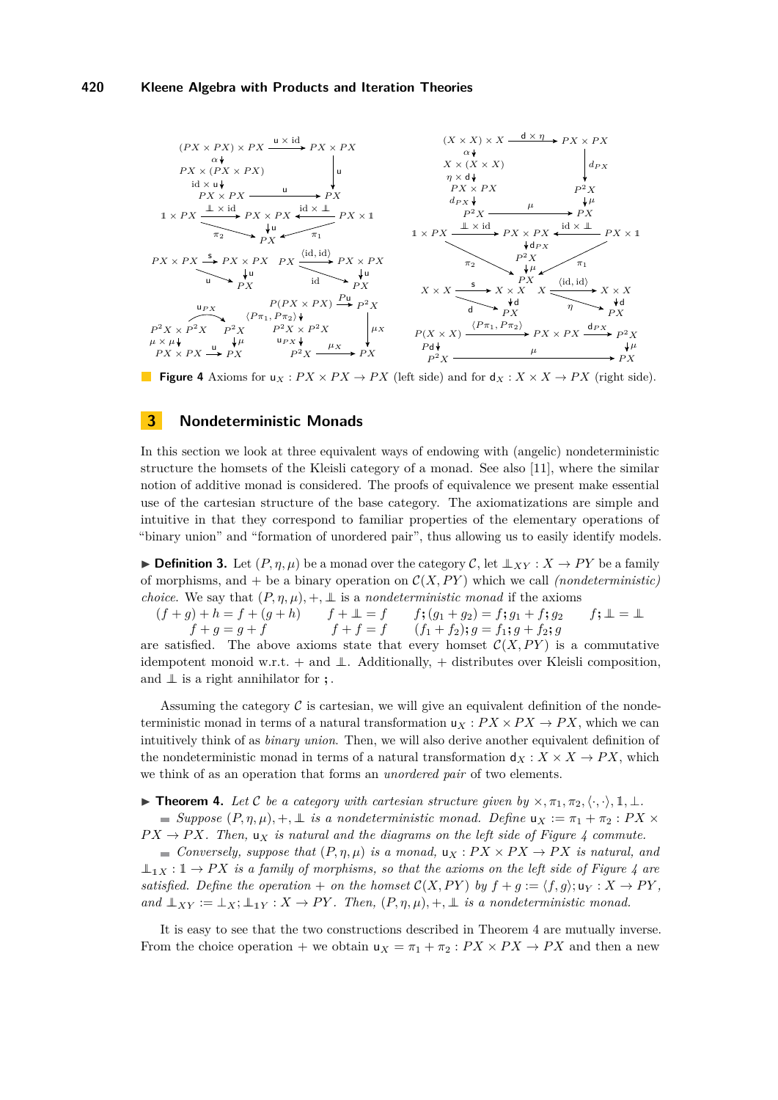<span id="page-5-0"></span>

**Figure 4** Axioms for  $u_X$ :  $PX \times PX \rightarrow PX$  (left side) and for  $d_X$ :  $X \times X \rightarrow PX$  (right side).

# <span id="page-5-2"></span>**3 Nondeterministic Monads**

In this section we look at three equivalent ways of endowing with (angelic) nondeterministic structure the homsets of the Kleisli category of a monad. See also [\[11\]](#page-14-15), where the similar notion of additive monad is considered. The proofs of equivalence we present make essential use of the cartesian structure of the base category. The axiomatizations are simple and intuitive in that they correspond to familiar properties of the elementary operations of "binary union" and "formation of unordered pair", thus allowing us to easily identify models.

► **Definition 3.** Let  $(P, \eta, \mu)$  be a monad over the category C, let  $\perp \!\!\! \perp_{XY} : X \to PY$  be a family of morphisms, and + be a binary operation on  $C(X, PY)$  which we call *(nondeterministic) choice.* We say that  $(P, \eta, \mu)$ ,  $+$ ,  $\perp$  is a *nondeterministic monad* if the axioms

 $(f+g) + h = f + (g+h)$   $f + \mathbb{L} = f$   $f$ ;  $(g_1+g_2) = f$ ;  $g_1 + f$ ;  $g_2$   $f$ ;  $\mathbb{L} = \mathbb{L}$  $f + g = g + f$   $f + f = f$   $(f_1 + f_2); g = f_1; g + f_2; g$ 

are satisfied. The above axioms state that every homset  $\mathcal{C}(X, PY)$  is a commutative idempotent monoid w.r.t. + and  $\perp$ . Additionally, + distributes over Kleisli composition, and ⊥⊥ is a right annihilator for **;** .

Assuming the category  $\mathcal C$  is cartesian, we will give an equivalent definition of the nondeterministic monad in terms of a natural transformation  $u_X : P X \times P X \rightarrow P X$ , which we can intuitively think of as *binary union*. Then, we will also derive another equivalent definition of the nondeterministic monad in terms of a natural transformation  $d_X: X \times X \to PX$ , which we think of as an operation that forms an *unordered pair* of two elements.

<span id="page-5-1"></span>**► Theorem 4.** Let C be a category with cartesian structure given by  $\times, \pi_1, \pi_2, \langle \cdot, \cdot \rangle, \mathbb{I}, \bot$ .  $S$ *suppose*  $(P, η, μ)$ *,* +*,* ⊥ *is a nondeterministic monad. Define* **u**<sub>X</sub> :=  $π_1 + π_2$  :  $PX$  ×  $PX \to PX$ . Then,  $u_X$  *is natural and the diagrams on the left side of Figure [4](#page-5-0) commute.* 

 $\blacksquare$  *Conversely, suppose that*  $(P, \eta, \mu)$  *is a monad,*  $u_X : PX \times PX \to PX$  *is natural, and*  $\perp$ <sub>1</sub>*X* : 1 → *PX is a family of morphisms, so that the axioms on the left side of Figure [4](#page-5-0)* are *satisfied. Define the operation* + *on the homset*  $\mathcal{C}(X, PY)$  *by*  $f + g := \langle f, g \rangle$ ;  $u_Y : X \to PY$ , *and*  $\perp_{XY} := \perp_X : \perp_{1Y} : X \to PY$ . Then,  $(P, \eta, \mu), +, \perp$  *is a nondeterministic monad.* 

It is easy to see that the two constructions described in Theorem [4](#page-5-1) are mutually inverse. From the choice operation + we obtain  $u_X = \pi_1 + \pi_2 : PX \times PX \to PX$  and then a new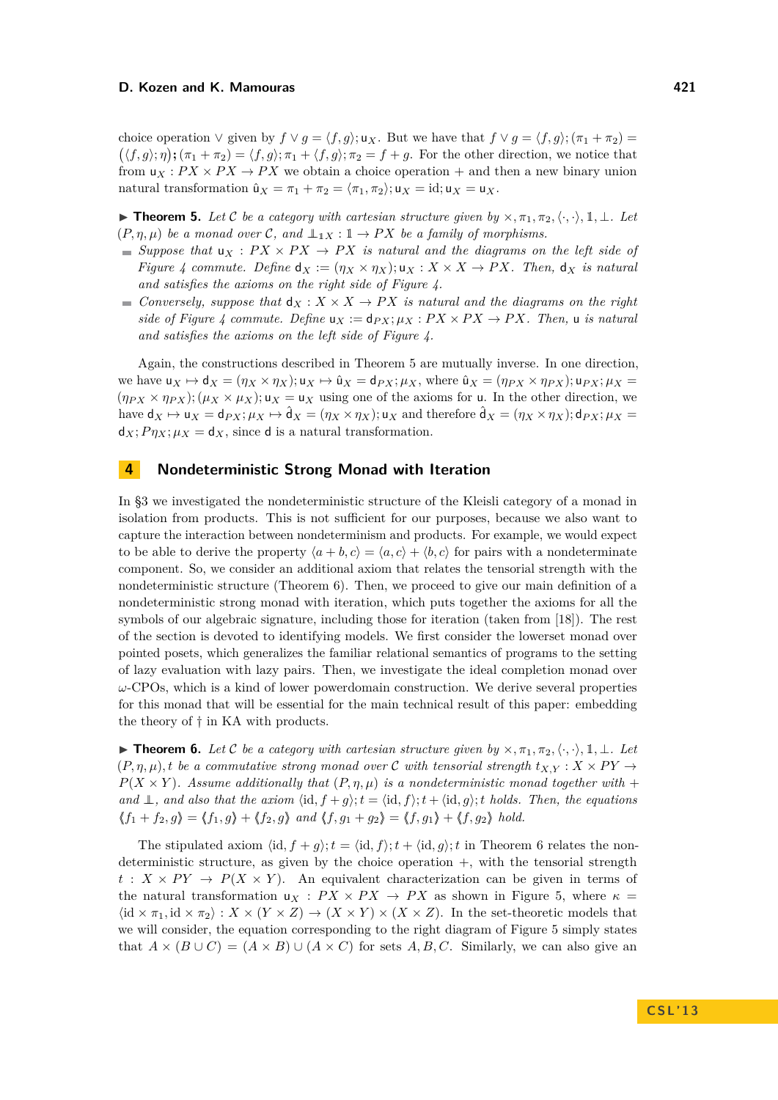choice operation  $\vee$  given by  $f \vee g = \langle f, g \rangle$ ; u<sub>X</sub>. But we have that  $f \vee g = \langle f, g \rangle$ ;  $(\pi_1 + \pi_2) =$  $(\langle f, g \rangle; \eta)$ ;  $(\pi_1 + \pi_2) = \langle f, g \rangle; \pi_1 + \langle f, g \rangle; \pi_2 = f + g$ . For the other direction, we notice that from  $u_X$ :  $PX \times PX \rightarrow PX$  we obtain a choice operation  $+$  and then a new binary union natural transformation  $\hat{u}_X = \pi_1 + \pi_2 = \langle \pi_1, \pi_2 \rangle; u_X = id; u_X = u_X.$ 

<span id="page-6-0"></span>**► Theorem 5.** Let C be a category with cartesian structure given by  $\times, \pi_1, \pi_2, \langle \cdot, \cdot \rangle, \mathbb{1}, \bot$ *. Let*  $(P, \eta, \mu)$  *be a monad over* C, and  $\perp_{1X}: \mathbb{1} \to PX$  *be a family of morphisms.* 

- $\blacksquare$  *Suppose that*  $u_X$  :  $PX \times PX \rightarrow PX$  *is natural and the diagrams on the left side of Figure* [4](#page-5-0) *commute.* Define  $d_X := (\eta_X \times \eta_X); u_X : X \times X \to PX$ . Then,  $d_X$  is natural *and satisfies the axioms on the right side of Figure [4.](#page-5-0)*
- *Conversely, suppose that*  $d_X: X \times X \to PX$  *is natural and the diagrams on the right side of Figure [4](#page-5-0) commute. Define*  $u_X := d_{PX}$ ;  $\mu_X : PX \times PX \to PX$ . Then, u *is natural and satisfies the axioms on the left side of Figure [4.](#page-5-0)*

Again, the constructions described in Theorem [5](#page-6-0) are mutually inverse. In one direction, we have  $u_X \mapsto d_X = (\eta_X \times \eta_X); u_X \mapsto \hat{u}_X = d_{PX}; \mu_X$ , where  $\hat{u}_X = (\eta_{PX} \times \eta_{PX}); u_{PX}; \mu_X =$  $(\eta_{PX} \times \eta_{PX}); (\mu_X \times \mu_X); u_X = u_X$  using one of the axioms for u. In the other direction, we have  $d_X \mapsto u_X = d_{PX}; \mu_X \mapsto \hat{d}_X = (\eta_X \times \eta_X); u_X$  and therefore  $\hat{d}_X = (\eta_X \times \eta_X); d_{PX}; \mu_X =$  $d_X$ ;  $P\eta_X$ ;  $\mu_X = d_X$ , since d is a natural transformation.

## **4 Nondeterministic Strong Monad with Iteration**

In [§3](#page-5-2) we investigated the nondeterministic structure of the Kleisli category of a monad in isolation from products. This is not sufficient for our purposes, because we also want to capture the interaction between nondeterminism and products. For example, we would expect to be able to derive the property  $\langle a+b,c\rangle = \langle a,c\rangle + \langle b,c\rangle$  for pairs with a nondeterminate component. So, we consider an additional axiom that relates the tensorial strength with the nondeterministic structure (Theorem [6\)](#page-6-1). Then, we proceed to give our main definition of a nondeterministic strong monad with iteration, which puts together the axioms for all the symbols of our algebraic signature, including those for iteration (taken from [\[18\]](#page-14-16)). The rest of the section is devoted to identifying models. We first consider the lowerset monad over pointed posets, which generalizes the familiar relational semantics of programs to the setting of lazy evaluation with lazy pairs. Then, we investigate the ideal completion monad over *ω*-CPOs, which is a kind of lower powerdomain construction. We derive several properties for this monad that will be essential for the main technical result of this paper: embedding the theory of † in KA with products.

<span id="page-6-1"></span>**► Theorem 6.** Let C be a category with cartesian structure given by  $\times, \pi_1, \pi_2, \langle \cdot, \cdot \rangle, \mathbb{1}, \bot$ . Let  $(P, \eta, \mu)$ , *t be a commutative strong monad over* C *with tensorial strength*  $t_{X,Y}$  :  $X \times PY \rightarrow$  $P(X \times Y)$ . Assume additionally that  $(P, \eta, \mu)$  is a nondeterministic monad together with + *and* ⊥, and also that the axiom  $\langle id, f + g \rangle$ ;  $t = \langle id, f \rangle$ ;  $t + \langle id, g \rangle$ ; *t holds. Then, the equations*  $\langle f_1 + f_2, g \rangle = \langle f_1, g \rangle + \langle f_2, g \rangle$  and  $\langle f, g_1 + g_2 \rangle = \langle f, g_1 \rangle + \langle f, g_2 \rangle$  hold.

The stipulated axiom  $\langle id, f + q \rangle$ ;  $t = \langle id, f \rangle$ ;  $t + \langle id, q \rangle$ ; *t* in Theorem [6](#page-6-1) relates the nondeterministic structure, as given by the choice operation +, with the tensorial strength  $t : X \times PY \rightarrow P(X \times Y)$ . An equivalent characterization can be given in terms of the natural transformation  $u_X : PX \times PX \to PX$  as shown in Figure [5,](#page-7-0) where  $\kappa =$  $\langle \text{id} \times \pi_1, \text{id} \times \pi_2 \rangle : X \times (Y \times Z) \to (X \times Y) \times (X \times Z)$ . In the set-theoretic models that we will consider, the equation corresponding to the right diagram of Figure [5](#page-7-0) simply states that  $A \times (B \cup C) = (A \times B) \cup (A \times C)$  for sets *A, B, C*. Similarly, we can also give an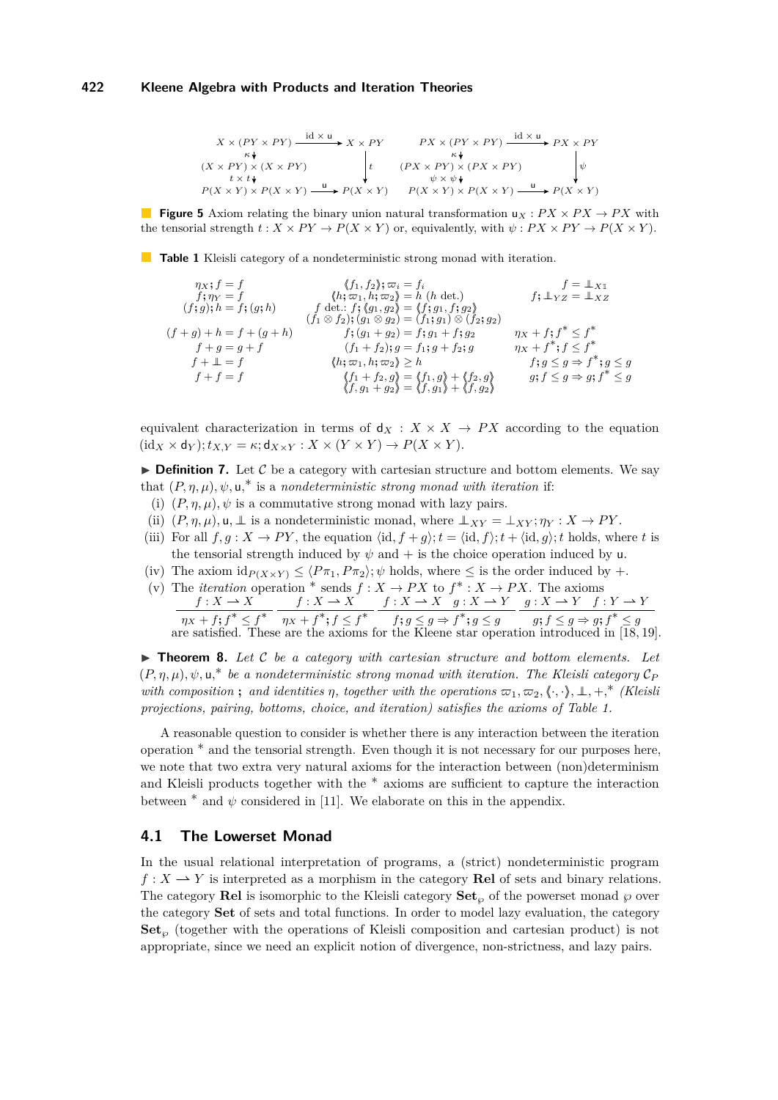<span id="page-7-0"></span>*X* × (*P Y* × *P Y* ) (*X* × *P Y* ) × (*X* × *P Y* ) *P* (*X* × *Y* ) × *P* (*X* × *Y* ) *X* × *P Y P* (*X* × *Y* ) id × u *κ t* × *t* u *t PX* × (*P Y* × *P Y* ) (*PX* × *P Y* ) × (*PX* × *P Y* ) *P* (*X* × *Y* ) × *P* (*X* × *Y* ) *PX* × *P Y P* (*X* × *Y* ) id × u *κ ψ* × *ψ* u *ψ*

**Figure 5** Axiom relating the binary union natural transformation  $u_x$ :  $PX \times PX \rightarrow PX$  with the tensorial strength  $t : X \times PY \to P(X \times Y)$  or, equivalently, with  $\psi : PX \times PY \to P(X \times Y)$ .

<span id="page-7-1"></span>**Table 1** Kleisli category of a nondeterministic strong monad with iteration.

$$
\eta x; f = f \qquad \langle f_1, f_2 \rangle; \varpi_i = f_i \qquad f = \perp x_1 \n f; \eta_Y = f \qquad \langle h; \varpi_1, h; \varpi_2 \rangle = h \quad (h \text{ det.}) \n (f; g); h = f; (g; h) \qquad f \text{ det.}: f; (g_1, g_2) = \langle f; g_1, f; g_2 \rangle \n (f+g) + h = f + (g+h) \qquad f; (g_1 + g_2) = f; g_1 + f; g_2 \qquad \eta_X + f; f^* \leq f^* \n f+g = g+f \qquad \qquad (f_1 + f_2); g = f_1; g + f_2; g \qquad \eta_X + f^*; f \leq f^* \n f+ \perp = f \qquad \qquad \langle h; \varpi_1, h; \varpi_2 \rangle \geq h \qquad \qquad f; g \leq g \Rightarrow f^*; g \leq g \n f+ f = f \qquad \qquad \langle f_1 + f_2, g \rangle = \langle f_1, g \rangle + \langle f_2, g \rangle \qquad g; f \leq g \Rightarrow g; f^* \leq g \n \langle f, g_1 + g_2 \rangle = \langle f, g_1 \rangle + \langle f, g_2 \rangle
$$

equivalent characterization in terms of  $d_X : X \times X \to PX$  according to the equation  $(id_X \times d_Y); t_{X,Y} = \kappa; d_{X \times Y} : X \times (Y \times Y) \rightarrow P(X \times Y).$ 

 $\triangleright$  **Definition 7.** Let C be a category with cartesian structure and bottom elements. We say that  $(P, \eta, \mu), \psi, \mathbf{u}^*$  is a *nondeterministic strong monad with iteration* if:

- (i)  $(P, \eta, \mu)$ ,  $\psi$  is a commutative strong monad with lazy pairs.
- (ii)  $(P, \eta, \mu)$ ,  $\mu$ ,  $\perp$  is a nondeterministic monad, where  $\perp_{XY} = \perp_{XY}; \eta_Y : X \to PY$ .
- (iii) For all  $f, g: X \to PY$ , the equation  $\langle id, f+g \rangle; t = \langle id, f \rangle; t + \langle id, g \rangle; t$  holds, where *t* is the tensorial strength induced by  $\psi$  and  $+$  is the choice operation induced by u.
- (iv) The axiom id $P(X \times Y) \leq \langle P \pi_1, P \pi_2 \rangle$ ;  $\psi$  holds, where  $\leq$  is the order induced by +.
- (v) The *iteration* operation  $*$  sends  $f: X \to PX$  to  $f^* : X \to PX$ . The axioms  $f: X \to X$  $\eta_X + f$ **;**  $f^* \leq f^*$  $f: X \to X$  $\eta_X + f^*$ ;  $f \leq f^*$  $f: X \to X \quad g: X \to Y$  $f$ **;**  $g \leq g \Rightarrow f^*$ **;**  $g \leq g$  $g: X \to Y$   $f: Y \to Y$  $g$ **;**  $f \leq g \Rightarrow g$ **;**  $f^* \leq g$ are satisfied. These are the axioms for the Kleene star operation introduced in [\[18,](#page-14-16) [19\]](#page-14-17).

▶ **Theorem 8.** Let C be a category with cartesian structure and bottom elements. Let  $(P, \eta, \mu)$ ,  $\psi$ ,  $\mathsf{u}$ ,\* *be a nondeterministic strong monad with iteration. The Kleisli category*  $\mathcal{C}_P$ *with composition* **;** and identities  $\eta$ , together with the operations  $\varpi_1, \varpi_2, \langle \cdot, \cdot \rangle, \bot, +, \cdot^*$  *(Kleisli*) *projections, pairing, bottoms, choice, and iteration) satisfies the axioms of Table [1.](#page-7-1)*

A reasonable question to consider is whether there is any interaction between the iteration operation ∗ and the tensorial strength. Even though it is not necessary for our purposes here, we note that two extra very natural axioms for the interaction between (non)determinism and Kleisli products together with the ∗ axioms are sufficient to capture the interaction between  $*$  and  $\psi$  considered in [\[11\]](#page-14-15). We elaborate on this in the appendix.

## **4.1 The Lowerset Monad**

In the usual relational interpretation of programs, a (strict) nondeterministic program  $f: X \to Y$  is interpreted as a morphism in the category **Rel** of sets and binary relations. The category **Rel** is isomorphic to the Kleisli category  $\textbf{Set}_{\varphi}$  of the powerset monad  $\varphi$  over the category **Set** of sets and total functions. In order to model lazy evaluation, the category **Set***<sup>℘</sup>* (together with the operations of Kleisli composition and cartesian product) is not appropriate, since we need an explicit notion of divergence, non-strictness, and lazy pairs.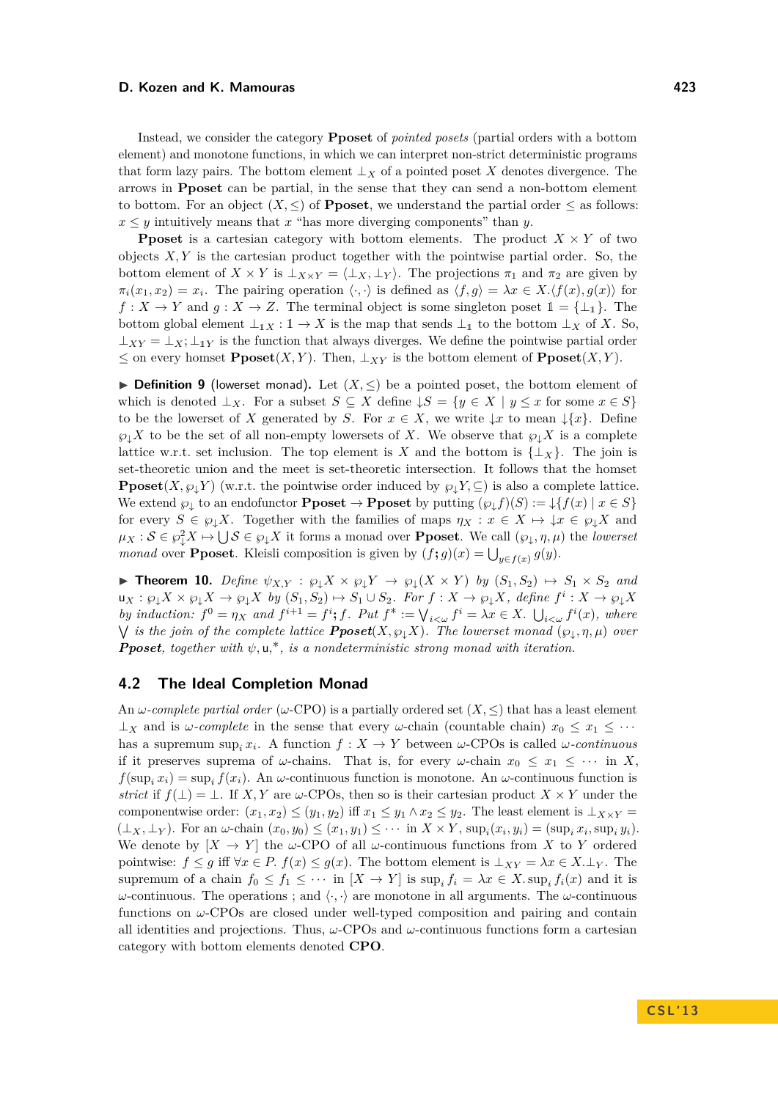Instead, we consider the category **Pposet** of *pointed posets* (partial orders with a bottom element) and monotone functions, in which we can interpret non-strict deterministic programs that form lazy pairs. The bottom element  $\perp_X$  of a pointed poset X denotes divergence. The arrows in **Pposet** can be partial, in the sense that they can send a non-bottom element to bottom. For an object  $(X, \leq)$  of **Pposet**, we understand the partial order  $\leq$  as follows:  $x \leq y$  intuitively means that *x* "has more diverging components" than *y*.

**Pposet** is a cartesian category with bottom elements. The product  $X \times Y$  of two objects *X, Y* is the cartesian product together with the pointwise partial order. So, the bottom element of  $X \times Y$  is  $\perp_{X \times Y} = \langle \perp_X, \perp_Y \rangle$ . The projections  $\pi_1$  and  $\pi_2$  are given by  $\pi_i(x_1, x_2) = x_i$ . The pairing operation  $\langle \cdot, \cdot \rangle$  is defined as  $\langle f, g \rangle = \lambda x \in X$ .  $\langle f(x), g(x) \rangle$  for  $f: X \to Y$  and  $g: X \to Z$ . The terminal object is some singleton poset  $1 = \{\perp_1\}$ . The bottom global element  $\perp_{1X} : \mathbb{1} \to X$  is the map that sends  $\perp_1$  to the bottom  $\perp_X$  of X. So,  $\perp_{XY} = \perp_X$ ;  $\perp_{1Y}$  is the function that always diverges. We define the pointwise partial order ≤ on every homset  $\text{Pposet}(X, Y)$ . Then,  $\bot_{XY}$  is the bottom element of  $\text{Pposet}(X, Y)$ .

**► Definition 9** (lowerset monad). Let  $(X, \leq)$  be a pointed poset, the bottom element of which is denoted  $\bot_X$ . For a subset  $S \subseteq X$  define  $\downarrow S = \{y \in X \mid y \leq x \text{ for some } x \in S\}$ to be the lowerset of *X* generated by *S*. For  $x \in X$ , we write  $\downarrow x$  to mean  $\downarrow \{x\}$ . Define  $\wp_{\downarrow} X$  to be the set of all non-empty lowersets of X. We observe that  $\wp_{\downarrow} X$  is a complete lattice w.r.t. set inclusion. The top element is *X* and the bottom is  $\{\perp_{X}\}\$ . The join is set-theoretic union and the meet is set-theoretic intersection. It follows that the homset **Pposet**(*X,*  $\wp_{\downarrow} Y$ *)* (w.r.t. the pointwise order induced by  $\wp_{\downarrow} Y, \subseteq$ ) is also a complete lattice. We extend  $\wp_{\downarrow}$  to an endofunctor **Pposet**  $\rightarrow$  **Pposet** by putting  $(\wp_{\downarrow} f)(S) := \downarrow \{f(x) \mid x \in S\}$ for every  $S \in \mathcal{G}_\downarrow X$ . Together with the families of maps  $\eta_X : x \in X \mapsto \downarrow x \in \mathcal{G}_\downarrow X$  and  $\mu_X : \mathcal{S} \in \wp_+^2 X \mapsto \bigcup \mathcal{S} \in \wp_+ X$  it forms a monad over **Pposet**. We call  $(\wp_+,\eta,\mu)$  the *lowerset monad* over **Pposet**. Kleisli composition is given by  $(f; g)(x) = \bigcup_{y \in f(x)} g(y)$ .

▶ **Theorem 10.** *Define*  $\psi_{X,Y}$  :  $\wp_{\downarrow} X \times \wp_{\downarrow} Y \rightarrow \wp_{\downarrow} (X \times Y)$  by  $(S_1, S_2) \mapsto S_1 \times S_2$  and  $\mathsf{u}_X : \wp_{\downarrow} X \times \wp_{\downarrow} X \to \wp_{\downarrow} X$  by  $(S_1, S_2) \mapsto S_1 \cup S_2$ . For  $f : X \to \wp_{\downarrow} X$ , define  $f^i : X \to \wp_{\downarrow} X$ by induction:  $f^0 = \eta_X$  and  $f^{i+1} = f^i$ ; f. Put  $f^* := \bigvee_{i < \omega} f^i = \lambda x \in X$ .  $\bigcup_{i < \omega} f^i(x)$ , where  $\bigvee$  *is the join of the complete lattice*  $\text{Pposet}(X, \wp_{\downarrow} X)$ *. The lowerset monad*  $(\wp_{\downarrow}, \eta, \mu)$  *over Pposet, together with ψ,* u*,* ∗*, is a nondeterministic strong monad with iteration.*

# **4.2 The Ideal Completion Monad**

An *ω*-complete partial order ( $\omega$ -CPO) is a partially ordered set  $(X, \leq)$  that has a least element  $\perp$ *X* and is *ω*-complete in the sense that every *ω*-chain (countable chain)  $x_0 \le x_1 \le \cdots$ has a supremum sup<sub>*i*</sub>  $x_i$ . A function  $f: X \to Y$  between  $\omega$ -CPOs is called  $\omega$ -continuous if it preserves suprema of *ω*-chains. That is, for every *ω*-chain  $x_0 \leq x_1 \leq \cdots$  in X,  $f(\sup_i x_i) = \sup_i f(x_i)$ . An *ω*-continuous function is monotone. An *ω*-continuous function is *strict* if  $f(\perp) = \perp$ . If *X,Y* are *ω*-CPOs, then so is their cartesian product *X* × *Y* under the componentwise order:  $(x_1, x_2) \le (y_1, y_2)$  iff  $x_1 \le y_1 \land x_2 \le y_2$ . The least element is  $\perp_{X \times Y}$  $(\perp_X, \perp_Y)$ . For an  $\omega$ -chain  $(x_0, y_0) \le (x_1, y_1) \le \cdots$  in  $X \times Y$ ,  $\sup_i (x_i, y_i) = (\sup_i x_i, \sup_i y_i)$ . We denote by  $[X \to Y]$  the *ω*-CPO of all *ω*-continuous functions from X to Y ordered pointwise:  $f \leq g$  iff  $\forall x \in P$ .  $f(x) \leq g(x)$ . The bottom element is  $\perp_{XY} = \lambda x \in X$ .  $\perp_Y$ . The supremum of a chain  $f_0 \le f_1 \le \cdots$  in  $[X \to Y]$  is  $\sup_i f_i = \lambda x \in X$ .  $\sup_i f_i(x)$  and it is *ω*-continuous. The operations ; and  $\langle \cdot, \cdot \rangle$  are monotone in all arguments. The *ω*-continuous functions on *ω*-CPOs are closed under well-typed composition and pairing and contain all identities and projections. Thus,  $\omega$ -CPOs and  $\omega$ -continuous functions form a cartesian category with bottom elements denoted **CPO**.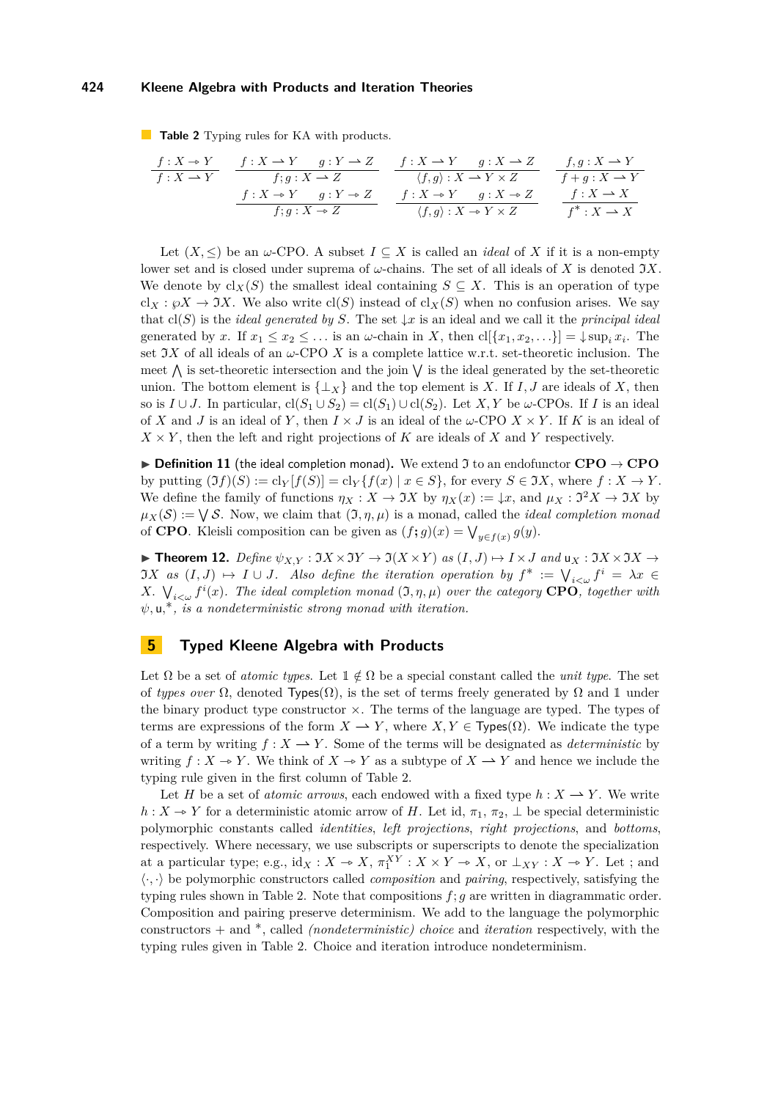<span id="page-9-0"></span>**Table 2** Typing rules for KA with products.

$$
\begin{array}{ccccccccc} f: X \rightarrow Y & f: X \rightarrow Y & g: Y \rightarrow Z & f: X \rightarrow Y & g: X \rightarrow Z & f, g: X \rightarrow Y \\ \hline f: X \rightarrow Y & f, g: X \rightarrow Z & & \langle f, g \rangle: X \rightarrow Y \times Z & f+g: X \rightarrow Y \\ & & f: X \rightarrow Y & g: Y \rightarrow Z & & f: X \rightarrow Y & g: X \rightarrow Z & & f: X \rightarrow X \\ & & & f, g: X \rightarrow Z & & \langle f, g \rangle: X \rightarrow Y \times Z & & f^*: X \rightarrow X \\ \end{array}
$$

Let  $(X, \leq)$  be an *w*-CPO. A subset  $I \subseteq X$  is called an *ideal* of X if it is a non-empty lower set and is closed under suprema of  $\omega$ -chains. The set of all ideals of X is denoted  $\Im X$ . We denote by  $\text{cl}_X(S)$  the smallest ideal containing  $S \subseteq X$ . This is an operation of type  $cl_X: \wp X \to \mathfrak{I} X$ . We also write  $cl(S)$  instead of  $cl_X(S)$  when no confusion arises. We say that  $cl(S)$  is the *ideal generated by S*. The set  $\downarrow x$  is an ideal and we call it the *principal ideal* generated by *x*. If  $x_1 \le x_2 \le \ldots$  is an  $\omega$ -chain in *X*, then  $\text{cl}[\{x_1, x_2, \ldots\}] = \downarrow \sup_i x_i$ . The set  $\Im X$  of all ideals of an  $\omega$ -CPO X is a complete lattice w.r.t. set-theoretic inclusion. The meet  $\bigwedge$  is set-theoretic intersection and the join  $\bigvee$  is the ideal generated by the set-theoretic union. The bottom element is  $\{\perp_X\}$  and the top element is *X*. If *I, J* are ideals of *X*, then so is  $I \cup J$ . In particular,  $cl(S_1 \cup S_2) = cl(S_1) \cup cl(S_2)$ . Let *X*, *Y* be *ω*-CPOs. If *I* is an ideal of *X* and *J* is an ideal of *Y*, then  $I \times J$  is an ideal of the  $\omega$ -CPO  $X \times Y$ . If K is an ideal of  $X \times Y$ , then the left and right projections of *K* are ideals of *X* and *Y* respectively.

 $\triangleright$  **Definition 11** (the ideal completion monad). We extend  $\Im$  to an endofunctor **CPO**  $\rightarrow$  **CPO** by putting  $(\Im f)(S) := \text{cl}_Y[f(S)] = \text{cl}_Y\{f(x) \mid x \in S\}$ , for every  $S \in \Im X$ , where  $f : X \to Y$ . We define the family of functions  $\eta_X : X \to \Im X$  by  $\eta_X(x) := \downarrow x$ , and  $\mu_X : \Im^2 X \to \Im X$  by  $\mu_X(\mathcal{S}) := \bigvee \mathcal{S}$ . Now, we claim that  $(\mathfrak{I}, \eta, \mu)$  is a monad, called the *ideal completion monad* of **CPO**. Kleisli composition can be given as  $(f; g)(x) = \bigvee_{y \in f(x)} g(y)$ .

 $\blacktriangleright$  **Theorem 12.** *Define*  $\psi_{X,Y} : \Im X \times \Im Y \to \Im(X \times Y)$  *as*  $(I, J) \mapsto I \times J$  *and*  $\mathsf{u}_X : \Im X \times \Im X \to \Im(Y)$  $JX$  *as*  $(I, J) \rightarrow I \cup J$ . Also define the iteration operation by  $f^* := \bigvee_{i < \omega} f^i = \lambda x$ *X*.  $\bigvee_{i \leq \omega} f^i(x)$ *. The ideal completion monad*  $(\mathfrak{I}, \eta, \mu)$  *over the category* **CPO***, together with ψ,* u*,* ∗*, is a nondeterministic strong monad with iteration.*

## <span id="page-9-1"></span>**5 Typed Kleene Algebra with Products**

Let  $\Omega$  be a set of *atomic types*. Let  $\mathbb{1} \notin \Omega$  be a special constant called the *unit type*. The set of *types over*  $\Omega$ , denoted Types( $\Omega$ ), is the set of terms freely generated by  $\Omega$  and 1 under the binary product type constructor  $\times$ . The terms of the language are typed. The types of terms are expressions of the form  $X \to Y$ , where  $X, Y \in \text{Types}(\Omega)$ . We indicate the type of a term by writing  $f: X \to Y$ . Some of the terms will be designated as *deterministic* by writing  $f: X \to Y$ . We think of  $X \to Y$  as a subtype of  $X \to Y$  and hence we include the typing rule given in the first column of Table [2.](#page-9-0)

Let *H* be a set of *atomic arrows*, each endowed with a fixed type  $h: X \to Y$ . We write *h* : *X* → *Y* for a deterministic atomic arrow of *H*. Let id,  $\pi_1$ ,  $\pi_2$ , ⊥ be special deterministic polymorphic constants called *identities*, *left projections*, *right projections*, and *bottoms*, respectively. Where necessary, we use subscripts or superscripts to denote the specialization at a particular type; e.g.,  $id_X: X \to X$ ,  $\pi_1^{XY}: X \times Y \to X$ , or  $\perp_{XY}: X \to Y$ . Let ; and  $\langle \cdot, \cdot \rangle$  be polymorphic constructors called *composition* and *pairing*, respectively, satisfying the typing rules shown in Table [2.](#page-9-0) Note that compositions *f*; *g* are written in diagrammatic order. Composition and pairing preserve determinism. We add to the language the polymorphic constructors + and ∗, called *(nondeterministic) choice* and *iteration* respectively, with the typing rules given in Table [2.](#page-9-0) Choice and iteration introduce nondeterminism.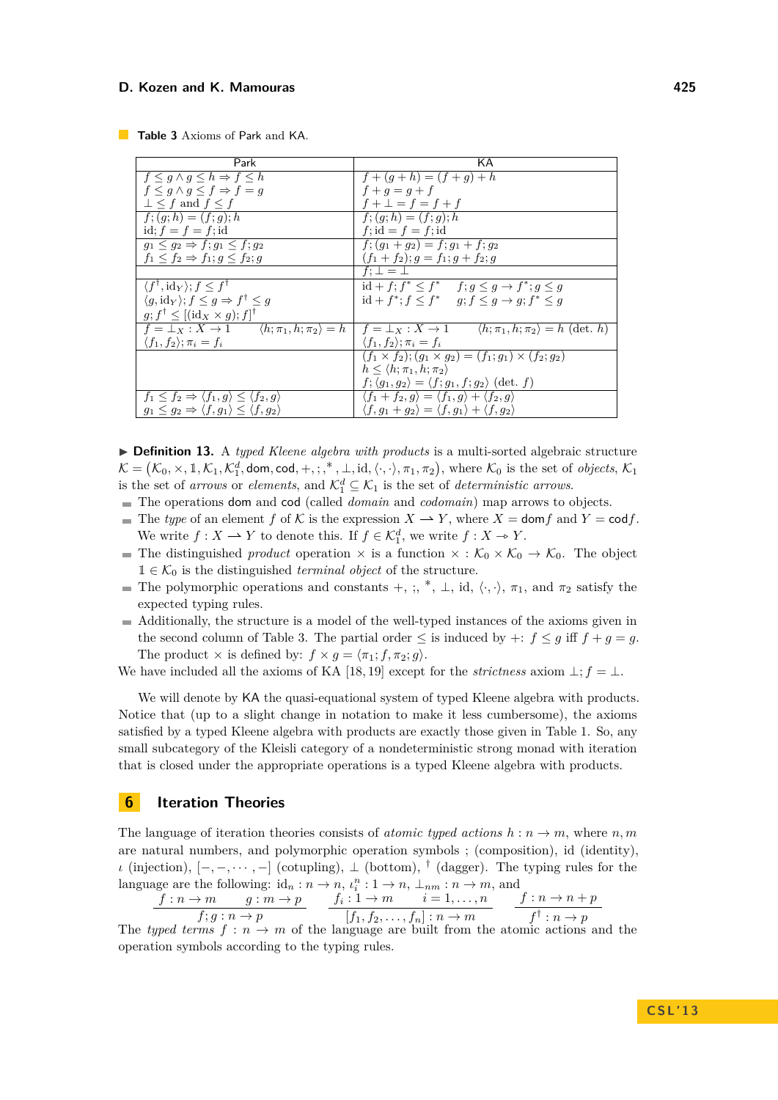<span id="page-10-0"></span>

| <b>Table 3</b> Axioms of Park and KA. |
|---------------------------------------|
|---------------------------------------|

| Park                                                                           | ΚA                                                                               |  |
|--------------------------------------------------------------------------------|----------------------------------------------------------------------------------|--|
| $f \leq q \wedge q \leq h \Rightarrow f \leq h$                                | $f + (g + h) = (f + g) + h$                                                      |  |
| $f \leq q \wedge q \leq f \Rightarrow f = q$                                   | $f + q = q + f$                                                                  |  |
| $\perp$ < f and $f \leq f$                                                     | $f + \bot = f = f + f$                                                           |  |
| $\overline{f;(g;h)}=(f;g);h$                                                   | $f: (q; h) = (f; q); h$                                                          |  |
| id; $f = f = f$ ; id                                                           | $f$ ; id = $f = f$ ; id                                                          |  |
| $q_1 < q_2 \Rightarrow f; q_1 < f; q_2$                                        | $f: (g_1 + g_2) = f: g_1 + f: g_2$                                               |  |
| $f_1 \leq f_2 \Rightarrow f_1; g \leq f_2; g$                                  | $(f_1 + f_2); g = f_1; g + f_2; g$                                               |  |
|                                                                                | $f: \bot = \bot$                                                                 |  |
| $\langle f^{\dagger}, \mathrm{id}_{Y} \rangle; f \leq f^{\dagger}$             | $id + f$ ; $f^* \le f^*$ $f$ ; $q \le q \to f^*$ ; $q \le q$                     |  |
| $\langle g, \mathrm{id}_Y \rangle$ ; $f \leq g \Rightarrow f^{\dagger} \leq g$ | $id + f^*$ ; $f \leq f^*$ $g$ ; $f \leq g \rightarrow g$ ; $f^* \leq g$          |  |
| $g; f^{\dagger} \leq [(\text{id}_X \times g); f]^{\dagger}$                    |                                                                                  |  |
| $f = \bot_X : X \to 1$ $\langle h; \pi_1, h; \pi_2 \rangle = h$                | $f = \perp_X : X \to 1$<br>$\langle h; \pi_1, h; \pi_2 \rangle = h$ (det. h)     |  |
| $\langle f_1, f_2 \rangle; \pi_i = f_i$                                        | $\langle f_1, f_2 \rangle; \pi_i = f_i$                                          |  |
|                                                                                | $(f_1 \times f_2); (g_1 \times g_2) = (f_1; g_1) \times (f_2; g_2)$              |  |
|                                                                                | $h \leq \langle h; \pi_1, h; \pi_2 \rangle$                                      |  |
|                                                                                | $f$ ; $\langle g_1, g_2 \rangle = \langle f; g_1, f; g_2 \rangle$ (det. f)       |  |
| $f_1 \leq f_2 \Rightarrow \langle f_1, g \rangle \leq \langle f_2, g \rangle$  | $\langle f_1+f_2,g\rangle = \langle f_1,g\rangle + \langle f_2,g\rangle$         |  |
| $g_1 \leq g_2 \Rightarrow \langle f, g_1 \rangle \leq \langle f, g_2 \rangle$  | $\langle f, g_1 + g_2 \rangle = \langle f, g_1 \rangle + \langle f, g_2 \rangle$ |  |

▶ **Definition 13.** A *typed Kleene algebra with products* is a multi-sorted algebraic structure  $\mathcal{K} = (\mathcal{K}_0, \times, \mathbb{1}, \mathcal{K}_1, \mathcal{K}_1^d, \text{dom}, \text{cod}, +, \dots, *, \bot, \text{id}, \langle \cdot, \cdot \rangle, \pi_1, \pi_2), \text{ where } \mathcal{K}_0 \text{ is the set of objects, } \mathcal{K}_1$ is the set of *arrows* or *elements*, and  $\mathcal{K}_1^d \subseteq \mathcal{K}_1$  is the set of *deterministic arrows*.

- The operations dom and cod (called *domain* and *codomain*) map arrows to objects.
- $\blacksquare$  The *type* of an element *f* of K is the expression  $X \to Y$ , where  $X = \text{dom } f$  and  $Y = \text{cod } f$ . We write  $f: X \to Y$  to denote this. If  $f \in \mathcal{K}_1^d$ , we write  $f: X \to Y$ .<br>The distinguished graphed execution  $\chi$  is a function  $\chi \circ \chi'$ .
- **The distinguished** *product* operation  $\times$  is a function  $\times : \mathcal{K}_0 \times \mathcal{K}_0 \to \mathcal{K}_0$ . The object  $1 \in \mathcal{K}_0$  is the distinguished *terminal object* of the structure.
- The polymorphic operations and constants +, ;, \*,  $\perp$ , id,  $\langle \cdot, \cdot \rangle$ ,  $\pi_1$ , and  $\pi_2$  satisfy the expected typing rules.
- Additionally, the structure is a model of the well-typed instances of the axioms given in the second column of Table [3.](#page-10-0) The partial order  $\leq$  is induced by  $\div$ :  $f \leq q$  iff  $f + q = q$ . The product  $\times$  is defined by:  $f \times g = \langle \pi_1; f, \pi_2; g \rangle$ .

We have included all the axioms of KA [\[18,](#page-14-16) [19\]](#page-14-17) except for the *strictness* axiom  $\bot$ ;  $f = \bot$ .

We will denote by KA the quasi-equational system of typed Kleene algebra with products. Notice that (up to a slight change in notation to make it less cumbersome), the axioms satisfied by a typed Kleene algebra with products are exactly those given in Table [1.](#page-7-1) So, any small subcategory of the Kleisli category of a nondeterministic strong monad with iteration that is closed under the appropriate operations is a typed Kleene algebra with products.

## **6 Iteration Theories**

The language of iteration theories consists of *atomic typed actions*  $h : n \to m$ , where  $n, m$ are natural numbers, and polymorphic operation symbols ; (composition), id (identity), *ι* (injection),  $[-,-,\dots,-]$  (cotupling),  $\perp$  (bottom), <sup>†</sup> (dagger). The typing rules for the language are the following:  $id_n : n \to n$ ,  $\iota_i^n : 1 \to n$ ,  $\bot_{nm} : n \to m$ , and

$$
\frac{f:n \to m \qquad g:m \to p}{f; g:n \to p} \qquad \frac{f_i: 1 \to m \qquad i = 1, \dots, n}{[f_1, f_2, \dots, f_n]: n \to m} \qquad \frac{f:n \to n+p}{f^{\dagger}: n \to p}
$$

The *typed terms*  $f : n \to m$  of the language are built from the atomic actions and the operation symbols according to the typing rules.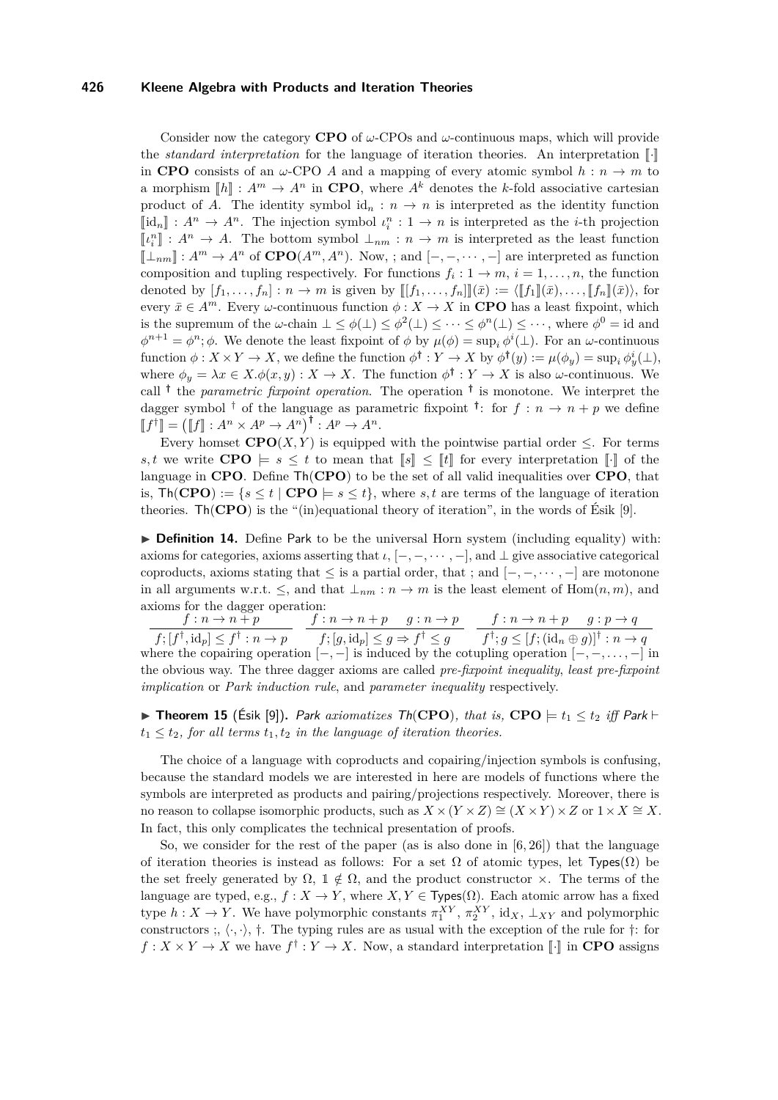Consider now the category **CPO** of *ω*-CPOs and *ω*-continuous maps, which will provide the *standard interpretation* for the language of iteration theories. An interpretation  $\llbracket \cdot \rrbracket$ in **CPO** consists of an  $\omega$ -CPO A and a mapping of every atomic symbol  $h : n \to m$  to a morphism  $\llbracket h \rrbracket : A^m \to A^n$  in **CPO**, where  $A^k$  denotes the *k*-fold associative cartesian product of *A*. The identity symbol id<sub>n</sub> :  $n \to n$  is interpreted as the identity function  $[\![id_n]\!] : A^n \to A^n$ . The injection symbol  $\iota_i^n : 1 \to n$  is interpreted as the *i*-th projection  $[\![id_n]\!] : A^n \to A$ . The hatter symbol  $\bot$  $\llbracket \iota_i^n \rrbracket : A^n \to A$ . The bottom symbol  $\perp_{nm} : n \to m$  is interpreted as the least function  $\llbracket \perp_{nm} \rrbracket : A^m \to A^n$  of  $\mathbf{CPO}(A^m, A^n)$ . Now, ; and  $[-, -, \cdots, -]$  are interpreted as function composition and tupling respectively. For functions  $f_i: 1 \to m$ ,  $i = 1, \ldots, n$ , the function denoted by  $[f_1, \ldots, f_n] : n \to m$  is given by  $[[[f_1, \ldots, f_n]](\bar{x}) := \langle [[f_1]](\bar{x}), \ldots, [[f_n]](\bar{x})\rangle$ , for every  $\bar{x} \in A^m$ . Every *ω*-continuous function  $\phi: X \to X$  in **CPO** has a least fixpoint, which is the supremum of the *w*-chain  $\bot \leq \phi(\bot) \leq \phi^2(\bot) \leq \cdots \leq \phi^n(\bot) \leq \cdots$ , where  $\phi^0 = id$  and  $\phi^{n+1} = \phi^n$ ;  $\phi$ . We denote the least fixpoint of  $\phi$  by  $\mu(\phi) = \sup_i \phi^i(\perp)$ . For an *ω*-continuous  $\text{function } \phi: X \times Y \to X, \text{ we define the function } \phi^{\dagger}: Y \to X \text{ by } \phi^{\dagger}(y) := \mu(\phi_y) = \sup_i \phi^i_y(\perp),$ where  $\phi_y = \lambda x \in X \cdot \phi(x, y) : X \to X$ . The function  $\phi^{\dagger} : Y \to X$  is also  $\omega$ -continuous. We call **†** the *parametric fixpoint operation*. The operation **†** is monotone. We interpret the dagger symbol <sup>†</sup> of the language as parametric fixpoint <sup>†</sup>: for  $f: n \to n + p$  we define  $[f^{\dagger}] = ([f] : A^n \times A^p \to A^n)^{\dagger} : A^p \to A^n.$ <br>Frame houset **GDO**<sup>(V</sup>, V) is a minute

Every homset **CPO**(*X,Y*) is equipped with the pointwise partial order  $\leq$ . For terms *s,t* we write **CPO**  $\models s \leq t$  to mean that  $\llbracket s \rrbracket \leq \llbracket t \rrbracket$  for every interpretation  $\llbracket \cdot \rrbracket$  of the language in **CPO**. Define Th(**CPO**) to be the set of all valid inequalities over **CPO**, that is,  $\text{Th}(\text{CPO}) := \{s \leq t \mid \text{CPO} \models s \leq t\}$ , where *s*, *t* are terms of the language of iteration theories. Th(**CPO**) is the "(in)equational theory of iteration", in the words of Esik [\[9\]](#page-14-2).

**Definition 14.** Define Park to be the universal Horn system (including equality) with: axioms for categories, axioms asserting that  $\iota$ ,  $[-, -, \cdots, -]$ , and  $\bot$  give associative categorical coproducts, axioms stating that  $\leq$  is a partial order, that ; and  $[-, -, \cdots, -]$  are motonone in all arguments w.r.t.  $\leq$ , and that  $\perp_{nm}: n \to m$  is the least element of Hom $(n, m)$ , and axioms for the dagger operation:

 $f: n \to n + p$  $f$ <sup> $, [f^{\dagger}, id_p] \leq f^{\dagger} : n \rightarrow p$ </sup>  $f: n \to n + p \quad g: n \to p$  $f$ ;  $[g, id_p] \leq g \Rightarrow f^{\dagger} \leq g$  $f: n \to n + p \quad g: p \to q$  $f^{\dagger}$ ;  $g \leq [f; (\mathrm{id}_n \oplus g)]^{\dagger} : n \to q$ where the copairing operation [−*,* −] is induced by the cotupling operation [−*,* −*, . . . ,* −] in the obvious way. The three dagger axioms are called *pre-fixpoint inequality*, *least pre-fixpoint implication* or *Park induction rule*, and *parameter inequality* respectively.

<span id="page-11-0"></span>▶ Theorem 15 (Ésik [\[9\]](#page-14-2)). Park axiomatizes Th(CPO), that is, CPO  $\models t_1 \leq t_2$  iff Park  $\models$  $t_1 \leq t_2$ , for all terms  $t_1, t_2$  *in the language of iteration theories.* 

The choice of a language with coproducts and copairing/injection symbols is confusing, because the standard models we are interested in here are models of functions where the symbols are interpreted as products and pairing/projections respectively. Moreover, there is no reason to collapse isomorphic products, such as  $X \times (Y \times Z) \cong (X \times Y) \times Z$  or  $1 \times X \cong X$ . In fact, this only complicates the technical presentation of proofs.

So, we consider for the rest of the paper (as is also done in  $[6, 26]$  $[6, 26]$ ) that the language of iteration theories is instead as follows: For a set  $\Omega$  of atomic types, let Types( $\Omega$ ) be the set freely generated by  $\Omega$ ,  $\mathbb{1} \notin \Omega$ , and the product constructor  $\times$ . The terms of the language are typed, e.g.,  $f: X \to Y$ , where  $X, Y \in \text{Types}(\Omega)$ . Each atomic arrow has a fixed type  $h: X \to Y$ . We have polymorphic constants  $\pi_1^{XY}, \pi_2^{XY}, \text{id}_X, \perp_{XY}$  and polymorphic constructors ;,  $\langle \cdot, \cdot \rangle$ ,  $\dagger$ . The typing rules are as usual with the exception of the rule for  $\dagger$ : for  $f: X \times Y \to X$  we have  $f^{\dagger}: Y \to X$ . Now, a standard interpretation  $\llbracket \cdot \rrbracket$  in **CPO** assigns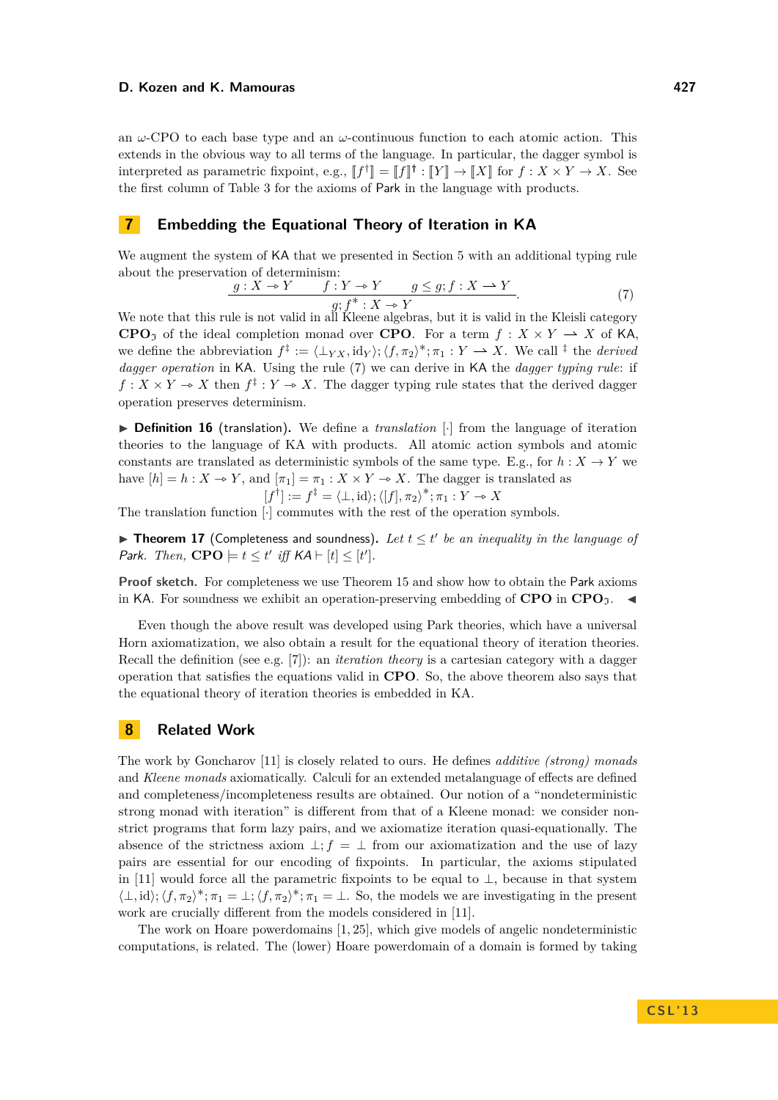an *ω*-CPO to each base type and an *ω*-continuous function to each atomic action. This extends in the obvious way to all terms of the language. In particular, the dagger symbol is interpreted as parametric fixpoint, e.g.,  $[f^{\dagger}] = [f]^{\dagger} : [Y] \rightarrow [X]$  for  $f : X \times Y \rightarrow X$ . See the first column of Table [3](#page-10-0) for the axioms of Park in the language with products.

# <span id="page-12-0"></span>**7 Embedding the Equational Theory of Iteration in KA**

We augment the system of KA that we presented in Section [5](#page-9-1) with an additional typing rule about the preservation of determinism:

$$
\frac{g: X \to Y \qquad f: Y \to Y \qquad g \le g; f: X \to Y}{g; f^*: X \to Y}.\tag{7}
$$

We note that this rule is not valid in all Kleene algebras, but it is valid in the Kleisli category **CPO**<sub>2</sub> of the ideal completion monad over **CPO**. For a term  $f : X \times Y \to X$  of KA, we define the abbreviation  $f^{\ddagger} := \langle \perp_{YX}, id_{Y} \rangle; \langle f, \pi_{2} \rangle^{*}; \pi_{1} : Y \longrightarrow X$ . We call  $^{\ddagger}$  the *derived dagger operation* in KA. Using the rule [\(7\)](#page-12-0) we can derive in KA the *dagger typing rule*: if  $f: X \times Y \to X$  then  $f^{\ddagger}: Y \to X$ . The dagger typing rule states that the derived dagger operation preserves determinism.

▶ Definition 16 (translation). We define a *translation* [·] from the language of iteration theories to the language of KA with products. All atomic action symbols and atomic constants are translated as deterministic symbols of the same type. E.g., for  $h: X \to Y$  we have  $[h] = h : X \to Y$ , and  $[\pi_1] = \pi_1 : X \times Y \to X$ . The dagger is translated as<br> $[f^{\dagger}] := f^{\ddagger} = \langle \perp, id \rangle; \langle [f], \pi_2 \rangle^*; \pi_1 : Y \to X$ [*f*

$$
f^{\dagger} \rfloor := f^{\dagger} = \langle \bot, \mathrm{id} \rangle; \langle [f], \pi_2 \rangle^*; \pi_1 : Y \to X
$$

The translation function [·] commutes with the rest of the operation symbols.

**Theorem 17** (Completeness and soundness). Let  $t \leq t'$  be an inequality in the language of Park. Then,  $\mathbf{CPO} \models t \leq t'$  iff  $\mathsf{KA} \vdash [t] \leq [t']$ .

**Proof sketch.** For completeness we use Theorem [15](#page-11-0) and show how to obtain the Park axioms in KA. For soundness we exhibit an operation-preserving embedding of **CPO** in  $\mathbf{CPO}_{\gamma}$ .

Even though the above result was developed using Park theories, which have a universal Horn axiomatization, we also obtain a result for the equational theory of iteration theories. Recall the definition (see e.g. [\[7\]](#page-14-1)): an *iteration theory* is a cartesian category with a dagger operation that satisfies the equations valid in **CPO**. So, the above theorem also says that the equational theory of iteration theories is embedded in KA.

## **8 Related Work**

The work by Goncharov [\[11\]](#page-14-15) is closely related to ours. He defines *additive (strong) monads* and *Kleene monads* axiomatically. Calculi for an extended metalanguage of effects are defined and completeness/incompleteness results are obtained. Our notion of a "nondeterministic strong monad with iteration" is different from that of a Kleene monad: we consider nonstrict programs that form lazy pairs, and we axiomatize iteration quasi-equationally. The absence of the strictness axiom  $\perp$ ; *f* =  $\perp$  from our axiomatization and the use of lazy pairs are essential for our encoding of fixpoints. In particular, the axioms stipulated in [\[11\]](#page-14-15) would force all the parametric fixpoints to be equal to  $\perp$ , because in that system  $\langle \perp, id \rangle$ ;  $\langle f, \pi_2 \rangle^*$ ;  $\pi_1 = \perp$ ;  $\langle f, \pi_2 \rangle^*$ ;  $\pi_1 = \perp$ . So, the models we are investigating in the present work are crucially different from the models considered in [\[11\]](#page-14-15).

The work on Hoare powerdomains [\[1,](#page-14-19) [25\]](#page-14-20), which give models of angelic nondeterministic computations, is related. The (lower) Hoare powerdomain of a domain is formed by taking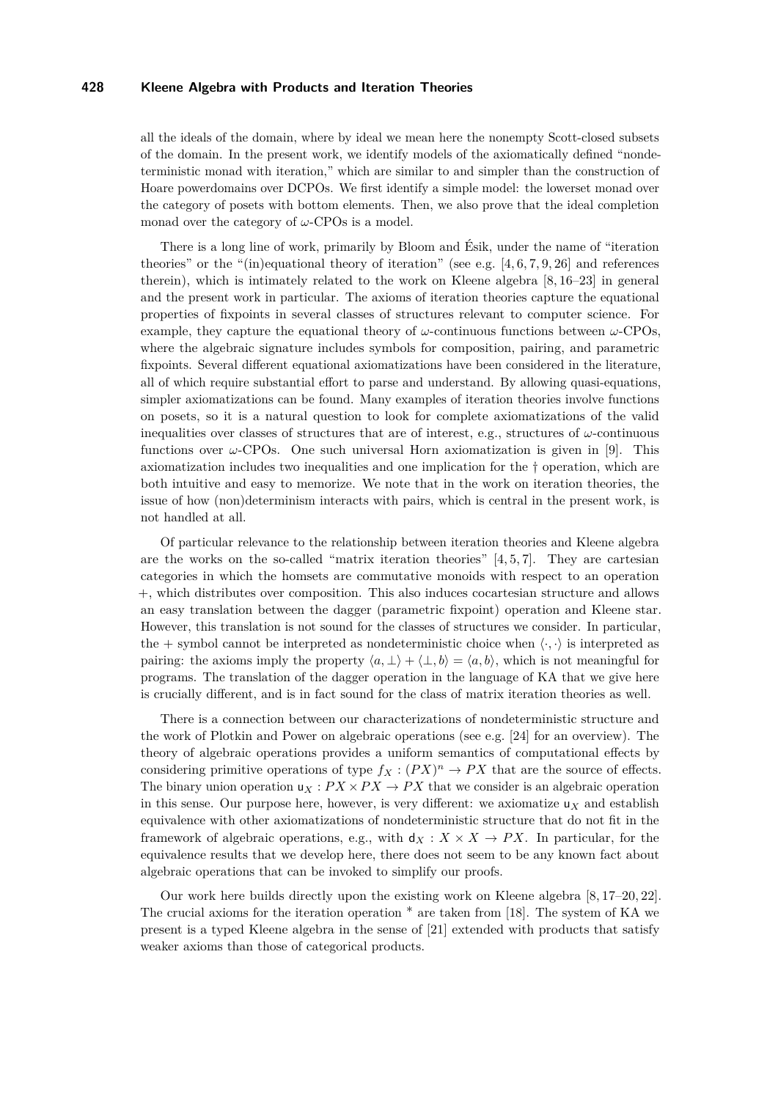all the ideals of the domain, where by ideal we mean here the nonempty Scott-closed subsets of the domain. In the present work, we identify models of the axiomatically defined "nondeterministic monad with iteration," which are similar to and simpler than the construction of Hoare powerdomains over DCPOs. We first identify a simple model: the lowerset monad over the category of posets with bottom elements. Then, we also prove that the ideal completion monad over the category of *ω*-CPOs is a model.

There is a long line of work, primarily by Bloom and Ésik, under the name of "iteration theories" or the "(in)equational theory of iteration" (see e.g.  $[4, 6, 7, 9, 26]$  $[4, 6, 7, 9, 26]$  $[4, 6, 7, 9, 26]$  $[4, 6, 7, 9, 26]$  $[4, 6, 7, 9, 26]$  and references therein), which is intimately related to the work on Kleene algebra [\[8,](#page-14-8) [16](#page-14-9)[–23\]](#page-14-10) in general and the present work in particular. The axioms of iteration theories capture the equational properties of fixpoints in several classes of structures relevant to computer science. For example, they capture the equational theory of  $\omega$ -continuous functions between  $\omega$ -CPOs, where the algebraic signature includes symbols for composition, pairing, and parametric fixpoints. Several different equational axiomatizations have been considered in the literature, all of which require substantial effort to parse and understand. By allowing quasi-equations, simpler axiomatizations can be found. Many examples of iteration theories involve functions on posets, so it is a natural question to look for complete axiomatizations of the valid inequalities over classes of structures that are of interest, e.g., structures of  $\omega$ -continuous functions over *ω*-CPOs. One such universal Horn axiomatization is given in [\[9\]](#page-14-2). This axiomatization includes two inequalities and one implication for the † operation, which are both intuitive and easy to memorize. We note that in the work on iteration theories, the issue of how (non)determinism interacts with pairs, which is central in the present work, is not handled at all.

Of particular relevance to the relationship between iteration theories and Kleene algebra are the works on the so-called "matrix iteration theories"  $[4, 5, 7]$  $[4, 5, 7]$  $[4, 5, 7]$ . They are cartesian categories in which the homsets are commutative monoids with respect to an operation +, which distributes over composition. This also induces cocartesian structure and allows an easy translation between the dagger (parametric fixpoint) operation and Kleene star. However, this translation is not sound for the classes of structures we consider. In particular, the + symbol cannot be interpreted as nondeterministic choice when  $\langle \cdot, \cdot \rangle$  is interpreted as pairing: the axioms imply the property  $\langle a, \perp \rangle + \langle \perp, b \rangle = \langle a, b \rangle$ , which is not meaningful for programs. The translation of the dagger operation in the language of KA that we give here is crucially different, and is in fact sound for the class of matrix iteration theories as well.

There is a connection between our characterizations of nondeterministic structure and the work of Plotkin and Power on algebraic operations (see e.g. [\[24\]](#page-14-22) for an overview). The theory of algebraic operations provides a uniform semantics of computational effects by considering primitive operations of type  $f_X: (PX)^n \to PX$  that are the source of effects. The binary union operation  $u_X:PX \times PX \to PX$  that we consider is an algebraic operation in this sense. Our purpose here, however, is very different: we axiomatize  $u<sub>X</sub>$  and establish equivalence with other axiomatizations of nondeterministic structure that do not fit in the framework of algebraic operations, e.g., with  $d_X: X \times X \rightarrow PX$ . In particular, for the equivalence results that we develop here, there does not seem to be any known fact about algebraic operations that can be invoked to simplify our proofs.

Our work here builds directly upon the existing work on Kleene algebra [\[8,](#page-14-8) [17–](#page-14-23)[20,](#page-14-24) [22\]](#page-14-25). The crucial axioms for the iteration operation  $*$  are taken from [\[18\]](#page-14-16). The system of KA we present is a typed Kleene algebra in the sense of [\[21\]](#page-14-11) extended with products that satisfy weaker axioms than those of categorical products.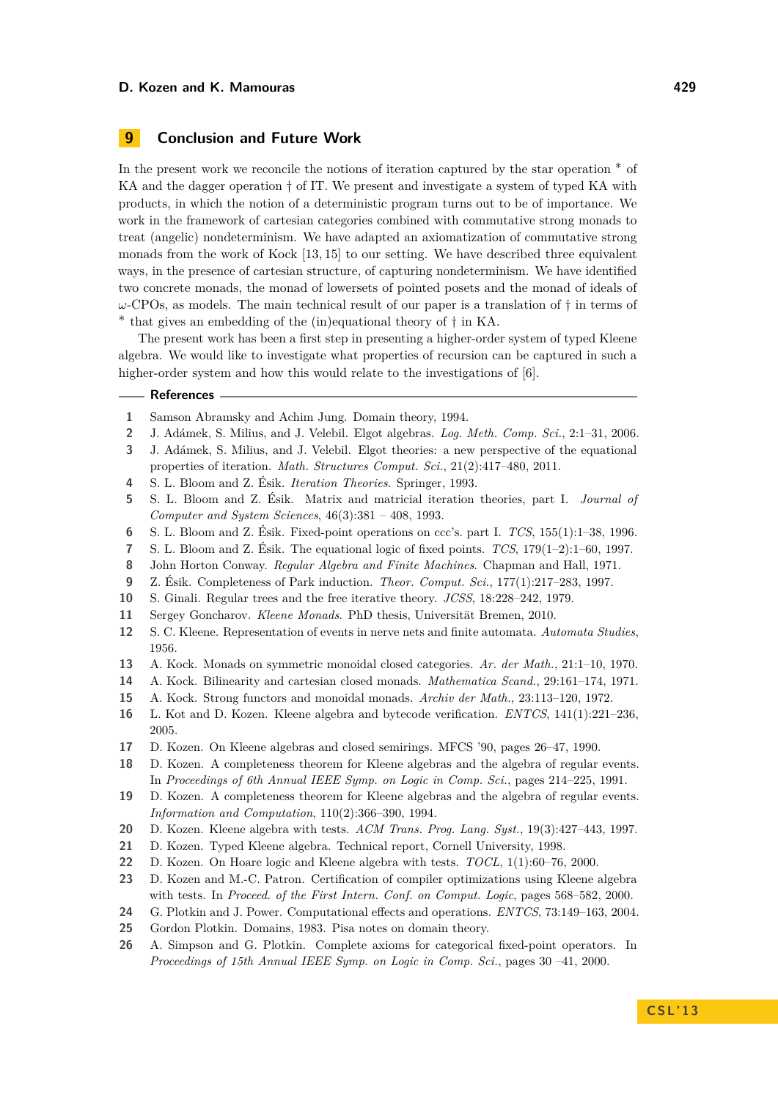# **9 Conclusion and Future Work**

In the present work we reconcile the notions of iteration captured by the star operation ∗ of KA and the dagger operation † of IT. We present and investigate a system of typed KA with products, in which the notion of a deterministic program turns out to be of importance. We work in the framework of cartesian categories combined with commutative strong monads to treat (angelic) nondeterminism. We have adapted an axiomatization of commutative strong monads from the work of Kock [\[13,](#page-14-12) [15\]](#page-14-13) to our setting. We have described three equivalent ways, in the presence of cartesian structure, of capturing nondeterminism. We have identified two concrete monads, the monad of lowersets of pointed posets and the monad of ideals of *ω*-CPOs, as models. The main technical result of our paper is a translation of † in terms of ∗ that gives an embedding of the (in)equational theory of † in KA.

The present work has been a first step in presenting a higher-order system of typed Kleene algebra. We would like to investigate what properties of recursion can be captured in such a higher-order system and how this would relate to the investigations of [\[6\]](#page-14-6).

#### **References**

- <span id="page-14-19"></span>**1** Samson Abramsky and Achim Jung. Domain theory, 1994.
- <span id="page-14-4"></span>**2** J. Adámek, S. Milius, and J. Velebil. Elgot algebras. *Log. Meth. Comp. Sci.*, 2:1–31, 2006.
- <span id="page-14-5"></span>**3** J. Adámek, S. Milius, and J. Velebil. Elgot theories: a new perspective of the equational properties of iteration. *Math. Structures Comput. Sci.*, 21(2):417–480, 2011.
- <span id="page-14-0"></span>**4** S. L. Bloom and Z. Ésik. *Iteration Theories*. Springer, 1993.
- <span id="page-14-21"></span>**5** S. L. Bloom and Z. Ésik. Matrix and matricial iteration theories, part I. *Journal of Computer and System Sciences*, 46(3):381 – 408, 1993.
- <span id="page-14-6"></span>**6** S. L. Bloom and Z. Ésik. Fixed-point operations on ccc's. part I. *TCS*, 155(1):1–38, 1996.
- <span id="page-14-1"></span>**7** S. L. Bloom and Z. Ésik. The equational logic of fixed points. *TCS*, 179(1–2):1–60, 1997.
- <span id="page-14-8"></span>**8** John Horton Conway. *Regular Algebra and Finite Machines*. Chapman and Hall, 1971.
- <span id="page-14-2"></span>**9** Z. Ésik. Completeness of Park induction. *Theor. Comput. Sci.*, 177(1):217–283, 1997.
- <span id="page-14-3"></span>**10** S. Ginali. Regular trees and the free iterative theory. *JCSS*, 18:228–242, 1979.
- <span id="page-14-15"></span>**11** Sergey Goncharov. *Kleene Monads*. PhD thesis, Universität Bremen, 2010.
- <span id="page-14-7"></span>**12** S. C. Kleene. Representation of events in nerve nets and finite automata. *Automata Studies*, 1956.
- <span id="page-14-12"></span>**13** A. Kock. Monads on symmetric monoidal closed categories. *Ar. der Math.*, 21:1–10, 1970.
- <span id="page-14-14"></span>**14** A. Kock. Bilinearity and cartesian closed monads. *Mathematica Scand.*, 29:161–174, 1971.
- <span id="page-14-13"></span>**15** A. Kock. Strong functors and monoidal monads. *Archiv der Math.*, 23:113–120, 1972.
- <span id="page-14-9"></span>**16** L. Kot and D. Kozen. Kleene algebra and bytecode verification. *ENTCS*, 141(1):221–236, 2005.
- <span id="page-14-23"></span>**17** D. Kozen. On Kleene algebras and closed semirings. MFCS '90, pages 26–47, 1990.
- <span id="page-14-16"></span>**18** D. Kozen. A completeness theorem for Kleene algebras and the algebra of regular events. In *Proceedings of 6th Annual IEEE Symp. on Logic in Comp. Sci.*, pages 214–225, 1991.
- <span id="page-14-17"></span>**19** D. Kozen. A completeness theorem for Kleene algebras and the algebra of regular events. *Information and Computation*, 110(2):366–390, 1994.
- <span id="page-14-24"></span>**20** D. Kozen. Kleene algebra with tests. *ACM Trans. Prog. Lang. Syst.*, 19(3):427–443, 1997.
- <span id="page-14-11"></span>**21** D. Kozen. Typed Kleene algebra. Technical report, Cornell University, 1998.
- <span id="page-14-25"></span>**22** D. Kozen. On Hoare logic and Kleene algebra with tests. *TOCL*, 1(1):60–76, 2000.
- <span id="page-14-10"></span>**23** D. Kozen and M.-C. Patron. Certification of compiler optimizations using Kleene algebra with tests. In *Proceed. of the First Intern. Conf. on Comput. Logic*, pages 568–582, 2000.
- <span id="page-14-22"></span>**24** G. Plotkin and J. Power. Computational effects and operations. *ENTCS*, 73:149–163, 2004.
- <span id="page-14-20"></span>**25** Gordon Plotkin. Domains, 1983. Pisa notes on domain theory.
- <span id="page-14-18"></span>**26** A. Simpson and G. Plotkin. Complete axioms for categorical fixed-point operators. In *Proceedings of 15th Annual IEEE Symp. on Logic in Comp. Sci.*, pages 30 –41, 2000.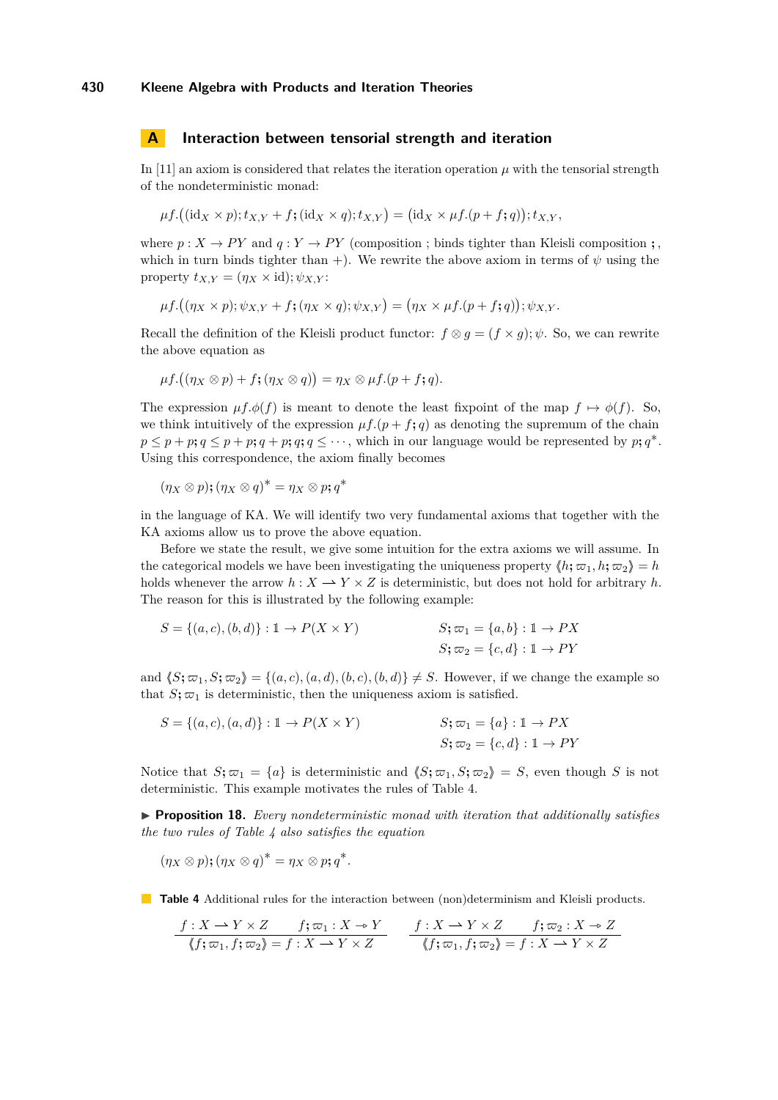#### **A Interaction between tensorial strength and iteration**

In [\[11\]](#page-14-15) an axiom is considered that relates the iteration operation  $\mu$  with the tensorial strength of the nondeterministic monad:

$$
\mu f.((\mathrm{id}_X \times p); t_{X,Y} + f; (\mathrm{id}_X \times q); t_{X,Y}) = (\mathrm{id}_X \times \mu f.((p+f;q)); t_{X,Y},
$$

where  $p: X \to PY$  and  $q: Y \to PY$  (composition ; binds tighter than Kleisli composition ; which in turn binds tighter than +). We rewrite the above axiom in terms of  $\psi$  using the property  $t_{X,Y} = (\eta_X \times id); \psi_{X,Y}$ :

$$
\mu f. ((\eta_X \times p); \psi_{X,Y} + f; (\eta_X \times q); \psi_{X,Y}) = (\eta_X \times \mu f. (p+f;q)); \psi_{X,Y}.
$$

Recall the definition of the Kleisli product functor:  $f \otimes g = (f \times g); \psi$ . So, we can rewrite the above equation as

$$
\mu f. ((\eta_X \otimes p) + f; (\eta_X \otimes q)) = \eta_X \otimes \mu f. (p + f; q).
$$

The expression  $\mu f \phi(f)$  is meant to denote the least fixpoint of the map  $f \mapsto \phi(f)$ . So, we think intuitively of the expression  $\mu f. (p + f; q)$  as denoting the supremum of the chain  $p \leq p + p$ ;  $q \leq p + p$ ;  $q + p$ ;  $q$ ;  $q \leq \cdots$ , which in our language would be represented by  $p$ ;  $q^*$ . Using this correspondence, the axiom finally becomes

$$
(\eta_X \otimes p); (\eta_X \otimes q)^* = \eta_X \otimes p; q^*
$$

in the language of KA. We will identify two very fundamental axioms that together with the KA axioms allow us to prove the above equation.

Before we state the result, we give some intuition for the extra axioms we will assume. In the categorical models we have been investigating the uniqueness property  $\langle h; \varpi_1, h; \varpi_2 \rangle = h$ holds whenever the arrow  $h: X \to Y \times Z$  is deterministic, but does not hold for arbitrary h. The reason for this is illustrated by the following example:

$$
S = \{(a, c), (b, d)\} : \mathbb{1} \to P(X \times Y)
$$
  

$$
S; \varpi_1 = \{a, b\} : \mathbb{1} \to PX
$$
  

$$
S; \varpi_2 = \{c, d\} : \mathbb{1} \to PY
$$

and  $\langle S; \varpi_1, S; \varpi_2 \rangle = \{(a, c), (a, d), (b, c), (b, d)\}\neq S$ . However, if we change the example so that  $S; \varpi_1$  is deterministic, then the uniqueness axiom is satisfied.

$$
S = \{(a, c), (a, d)\} : \mathbb{1} \to P(X \times Y)
$$
  

$$
S; \varpi_1 = \{a\} : \mathbb{1} \to PX
$$
  

$$
S; \varpi_2 = \{c, d\} : \mathbb{1} \to PY
$$

Notice that  $S$ **;**  $\varpi_1 = \{a\}$  is deterministic and  $\langle S$ **;**  $\varpi_1$ ,  $S$ **;**  $\varpi_2$ **)** = *S*, even though *S* is not deterministic. This example motivates the rules of Table [4.](#page-15-0)

I **Proposition 18.** *Every nondeterministic monad with iteration that additionally satisfies the two rules of Table [4](#page-15-0) also satisfies the equation*

$$
(\eta_X \otimes p); (\eta_X \otimes q)^* = \eta_X \otimes p; q^*.
$$

<span id="page-15-0"></span>**Table 4** Additional rules for the interaction between (non)determinism and Kleisli products.

$$
\frac{f: X \to Y \times Z \qquad f; \varpi_1: X \to Y}{\langle f; \varpi_1, f; \varpi_2 \rangle = f: X \to Y \times Z} \qquad \frac{f: X \to Y \times Z \qquad f; \varpi_2: X \to Z}{\langle f; \varpi_1, f; \varpi_2 \rangle = f: X \to Y \times Z}
$$